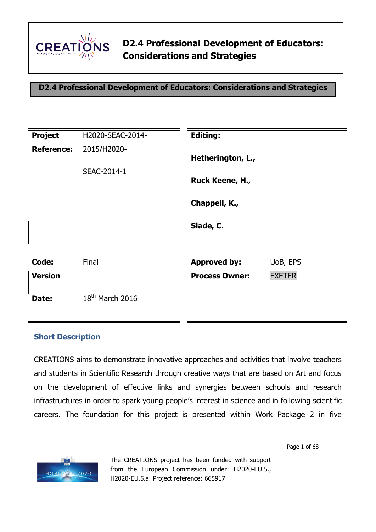

| <b>Project</b>          | H2020-SEAC-2014-  | <b>Editing:</b>                              |                           |
|-------------------------|-------------------|----------------------------------------------|---------------------------|
| <b>Reference:</b>       | 2015/H2020-       | Hetherington, L.,                            |                           |
|                         | SEAC-2014-1       | Ruck Keene, H.,                              |                           |
|                         |                   | Chappell, K.,                                |                           |
|                         |                   | Slade, C.                                    |                           |
| Code:<br><b>Version</b> | Final             | <b>Approved by:</b><br><b>Process Owner:</b> | UoB, EPS<br><b>EXETER</b> |
| Date:                   | $18th$ March 2016 |                                              |                           |

### **Short Description**

CREATIONS aims to demonstrate innovative approaches and activities that involve teachers and students in Scientific Research through creative ways that are based on Art and focus on the development of effective links and synergies between schools and research infrastructures in order to spark young people's interest in science and in following scientific careers. The foundation for this project is presented within Work Package 2 in five

Page 1 of 68

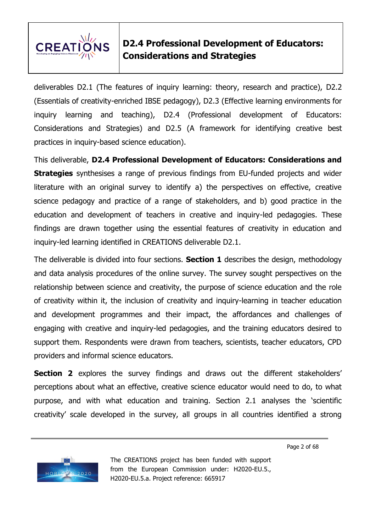

deliverables D2.1 (The features of inquiry learning: theory, research and practice), D2.2 (Essentials of creativity-enriched IBSE pedagogy), D2.3 (Effective learning environments for inquiry learning and teaching), D2.4 (Professional development of Educators: Considerations and Strategies) and D2.5 (A framework for identifying creative best practices in inquiry-based science education).

This deliverable, **D2.4 Professional Development of Educators: Considerations and Strategies** synthesises a range of previous findings from EU-funded projects and wider literature with an original survey to identify a) the perspectives on effective, creative science pedagogy and practice of a range of stakeholders, and b) good practice in the education and development of teachers in creative and inquiry-led pedagogies. These findings are drawn together using the essential features of creativity in education and inquiry-led learning identified in CREATIONS deliverable D2.1.

The deliverable is divided into four sections. **Section 1** describes the design, methodology and data analysis procedures of the online survey. The survey sought perspectives on the relationship between science and creativity, the purpose of science education and the role of creativity within it, the inclusion of creativity and inquiry-learning in teacher education and development programmes and their impact, the affordances and challenges of engaging with creative and inquiry-led pedagogies, and the training educators desired to support them. Respondents were drawn from teachers, scientists, teacher educators, CPD providers and informal science educators.

**Section 2** explores the survey findings and draws out the different stakeholders' perceptions about what an effective, creative science educator would need to do, to what purpose, and with what education and training. Section 2.1 analyses the 'scientific creativity' scale developed in the survey, all groups in all countries identified a strong

Page 2 of 68

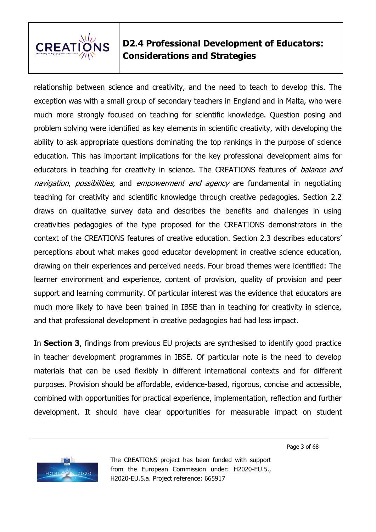

relationship between science and creativity, and the need to teach to develop this. The exception was with a small group of secondary teachers in England and in Malta, who were much more strongly focused on teaching for scientific knowledge. Question posing and problem solving were identified as key elements in scientific creativity, with developing the ability to ask appropriate questions dominating the top rankings in the purpose of science education. This has important implications for the key professional development aims for educators in teaching for creativity in science. The CREATIONS features of *balance and* navigation, possibilities, and empowerment and agency are fundamental in negotiating teaching for creativity and scientific knowledge through creative pedagogies. Section 2.2 draws on qualitative survey data and describes the benefits and challenges in using creativities pedagogies of the type proposed for the CREATIONS demonstrators in the context of the CREATIONS features of creative education. Section 2.3 describes educators' perceptions about what makes good educator development in creative science education, drawing on their experiences and perceived needs. Four broad themes were identified: The learner environment and experience, content of provision, quality of provision and peer support and learning community. Of particular interest was the evidence that educators are much more likely to have been trained in IBSE than in teaching for creativity in science, and that professional development in creative pedagogies had had less impact.

In **Section 3**, findings from previous EU projects are synthesised to identify good practice in teacher development programmes in IBSE. Of particular note is the need to develop materials that can be used flexibly in different international contexts and for different purposes. Provision should be affordable, evidence-based, rigorous, concise and accessible, combined with opportunities for practical experience, implementation, reflection and further development. It should have clear opportunities for measurable impact on student

Page 3 of 68

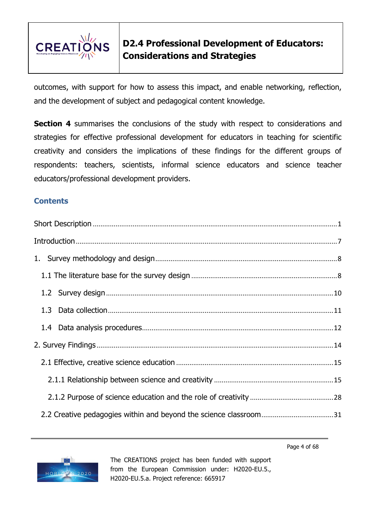

outcomes, with support for how to assess this impact, and enable networking, reflection, and the development of subject and pedagogical content knowledge.

**Section 4** summarises the conclusions of the study with respect to considerations and strategies for effective professional development for educators in teaching for scientific creativity and considers the implications of these findings for the different groups of respondents: teachers, scientists, informal science educators and science teacher educators/professional development providers.

### **Contents**



The CREATIONS project has been funded with support from the European Commission under: H2020-EU.5., H2020-EU.5.a. Project reference: 665917

Page 4 of 68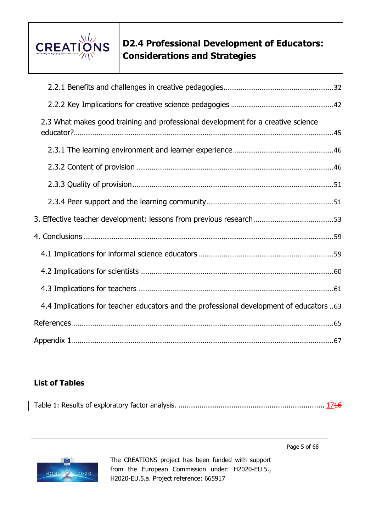

| 2.3 What makes good training and professional development for a creative science        |
|-----------------------------------------------------------------------------------------|
|                                                                                         |
|                                                                                         |
|                                                                                         |
|                                                                                         |
|                                                                                         |
|                                                                                         |
|                                                                                         |
|                                                                                         |
|                                                                                         |
| 4.4 Implications for teacher educators and the professional development of educators 63 |
|                                                                                         |
|                                                                                         |

### **List of Tables**



The CREATIONS project has been funded with support from the European Commission under: H2020-EU.5., H2020-EU.5.a. Project reference: 665917

Page 5 of 68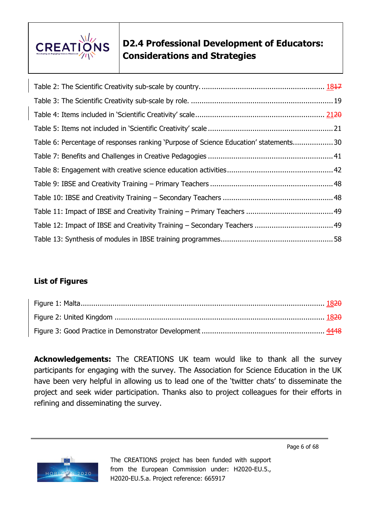

| Table 6: Percentage of responses ranking 'Purpose of Science Education' statements30 |  |
|--------------------------------------------------------------------------------------|--|
|                                                                                      |  |
|                                                                                      |  |
|                                                                                      |  |
|                                                                                      |  |
|                                                                                      |  |
|                                                                                      |  |
|                                                                                      |  |

### **List of Figures**

**Acknowledgements:** The CREATIONS UK team would like to thank all the survey participants for engaging with the survey. The Association for Science Education in the UK have been very helpful in allowing us to lead one of the 'twitter chats' to disseminate the project and seek wider participation. Thanks also to project colleagues for their efforts in refining and disseminating the survey.

Page 6 of 68

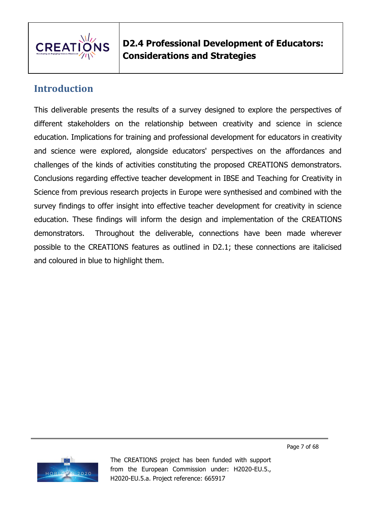

# **Introduction**

This deliverable presents the results of a survey designed to explore the perspectives of different stakeholders on the relationship between creativity and science in science education. Implications for training and professional development for educators in creativity and science were explored, alongside educators' perspectives on the affordances and challenges of the kinds of activities constituting the proposed CREATIONS demonstrators. Conclusions regarding effective teacher development in IBSE and Teaching for Creativity in Science from previous research projects in Europe were synthesised and combined with the survey findings to offer insight into effective teacher development for creativity in science education. These findings will inform the design and implementation of the CREATIONS demonstrators. Throughout the deliverable, connections have been made wherever possible to the CREATIONS features as outlined in D2.1; these connections are italicised and coloured in blue to highlight them.



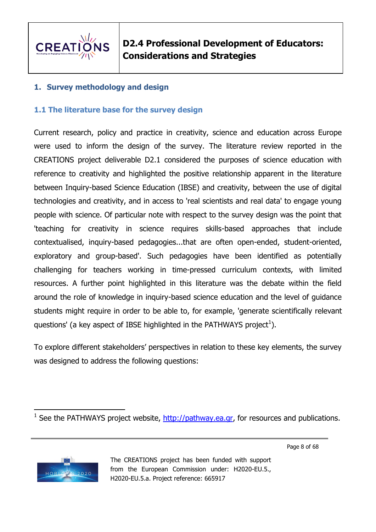

### **1. Survey methodology and design**

### **1.1 The literature base for the survey design**

Current research, policy and practice in creativity, science and education across Europe were used to inform the design of the survey. The literature review reported in the CREATIONS project deliverable D2.1 considered the purposes of science education with reference to creativity and highlighted the positive relationship apparent in the literature between Inquiry-based Science Education (IBSE) and creativity, between the use of digital technologies and creativity, and in access to 'real scientists and real data' to engage young people with science. Of particular note with respect to the survey design was the point that 'teaching for creativity in science requires skills-based approaches that include contextualised, inquiry-based pedagogies...that are often open-ended, student-oriented, exploratory and group-based'. Such pedagogies have been identified as potentially challenging for teachers working in time-pressed curriculum contexts, with limited resources. A further point highlighted in this literature was the debate within the field around the role of knowledge in inquiry-based science education and the level of guidance students might require in order to be able to, for example, 'generate scientifically relevant questions' (a key aspect of IBSE highlighted in the PATHWAYS project<sup>1</sup>).

To explore different stakeholders' perspectives in relation to these key elements, the survey was designed to address the following questions:

Page 8 of 68



-

<sup>&</sup>lt;sup>1</sup> See the PATHWAYS project website, [http://pathway.ea.gr,](http://pathway.ea.gr/) for resources and publications.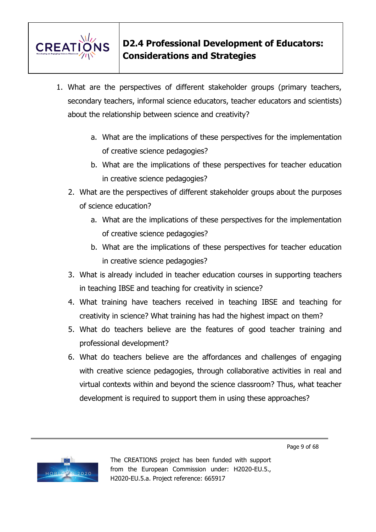

- 1. What are the perspectives of different stakeholder groups (primary teachers, secondary teachers, informal science educators, teacher educators and scientists) about the relationship between science and creativity?
	- a. What are the implications of these perspectives for the implementation of creative science pedagogies?
	- b. What are the implications of these perspectives for teacher education in creative science pedagogies?
	- 2. What are the perspectives of different stakeholder groups about the purposes of science education?
		- a. What are the implications of these perspectives for the implementation of creative science pedagogies?
		- b. What are the implications of these perspectives for teacher education in creative science pedagogies?
	- 3. What is already included in teacher education courses in supporting teachers in teaching IBSE and teaching for creativity in science?
	- 4. What training have teachers received in teaching IBSE and teaching for creativity in science? What training has had the highest impact on them?
	- 5. What do teachers believe are the features of good teacher training and professional development?
	- 6. What do teachers believe are the affordances and challenges of engaging with creative science pedagogies, through collaborative activities in real and virtual contexts within and beyond the science classroom? Thus, what teacher development is required to support them in using these approaches?

Page 9 of 68

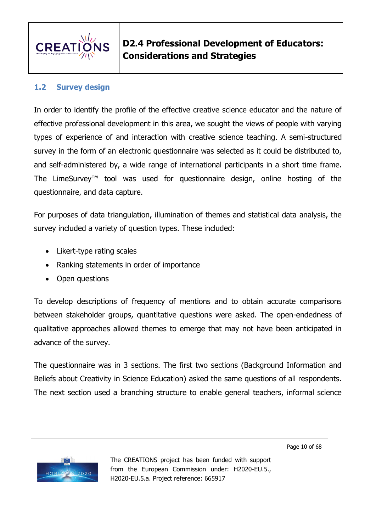

### **1.2 Survey design**

In order to identify the profile of the effective creative science educator and the nature of effective professional development in this area, we sought the views of people with varying types of experience of and interaction with creative science teaching. A semi-structured survey in the form of an electronic questionnaire was selected as it could be distributed to, and self-administered by, a wide range of international participants in a short time frame. The LimeSurvey™ tool was used for questionnaire design, online hosting of the questionnaire, and data capture.

For purposes of data triangulation, illumination of themes and statistical data analysis, the survey included a variety of question types. These included:

- Likert-type rating scales
- Ranking statements in order of importance
- Open questions

To develop descriptions of frequency of mentions and to obtain accurate comparisons between stakeholder groups, quantitative questions were asked. The open-endedness of qualitative approaches allowed themes to emerge that may not have been anticipated in advance of the survey.

The questionnaire was in 3 sections. The first two sections (Background Information and Beliefs about Creativity in Science Education) asked the same questions of all respondents. The next section used a branching structure to enable general teachers, informal science

Page 10 of 68

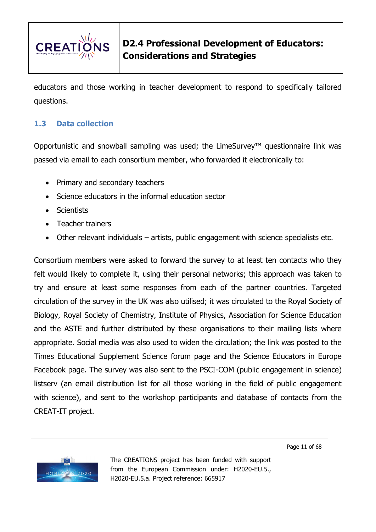

educators and those working in teacher development to respond to specifically tailored questions.

### **1.3 Data collection**

Opportunistic and snowball sampling was used; the LimeSurvey™ questionnaire link was passed via email to each consortium member, who forwarded it electronically to:

- Primary and secondary teachers
- Science educators in the informal education sector
- Scientists
- Teacher trainers
- Other relevant individuals artists, public engagement with science specialists etc.

Consortium members were asked to forward the survey to at least ten contacts who they felt would likely to complete it, using their personal networks; this approach was taken to try and ensure at least some responses from each of the partner countries. Targeted circulation of the survey in the UK was also utilised; it was circulated to the Royal Society of Biology, Royal Society of Chemistry, Institute of Physics, Association for Science Education and the ASTE and further distributed by these organisations to their mailing lists where appropriate. Social media was also used to widen the circulation; the link was posted to the Times Educational Supplement Science forum page and the Science Educators in Europe Facebook page. The survey was also sent to the PSCI-COM (public engagement in science) listserv (an email distribution list for all those working in the field of public engagement with science), and sent to the workshop participants and database of contacts from the CREAT-IT project.

Page 11 of 68

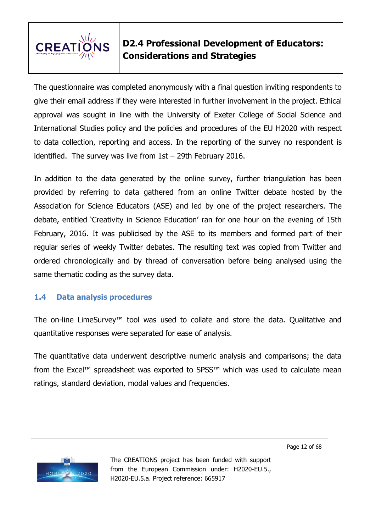

The questionnaire was completed anonymously with a final question inviting respondents to give their email address if they were interested in further involvement in the project. Ethical approval was sought in line with the University of Exeter College of Social Science and International Studies policy and the policies and procedures of the EU H2020 with respect to data collection, reporting and access. In the reporting of the survey no respondent is identified. The survey was live from 1st – 29th February 2016.

In addition to the data generated by the online survey, further triangulation has been provided by referring to data gathered from an online Twitter debate hosted by the Association for Science Educators (ASE) and led by one of the project researchers. The debate, entitled 'Creativity in Science Education' ran for one hour on the evening of 15th February, 2016. It was publicised by the ASE to its members and formed part of their regular series of weekly Twitter debates. The resulting text was copied from Twitter and ordered chronologically and by thread of conversation before being analysed using the same thematic coding as the survey data.

### **1.4 Data analysis procedures**

The on-line LimeSurvey™ tool was used to collate and store the data. Qualitative and quantitative responses were separated for ease of analysis.

The quantitative data underwent descriptive numeric analysis and comparisons; the data from the Excel™ spreadsheet was exported to SPSS™ which was used to calculate mean ratings, standard deviation, modal values and frequencies.



The CREATIONS project has been funded with support from the European Commission under: H2020-EU.5., H2020-EU.5.a. Project reference: 665917

Page 12 of 68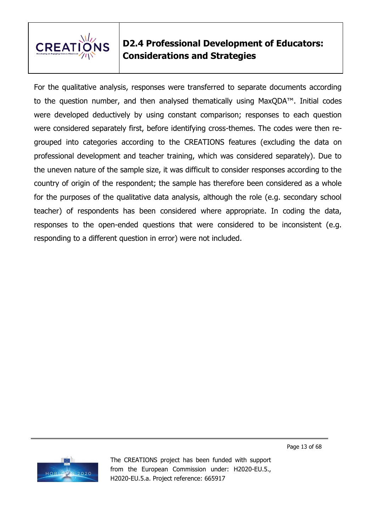

For the qualitative analysis, responses were transferred to separate documents according to the question number, and then analysed thematically using MaxQDA™. Initial codes were developed deductively by using constant comparison; responses to each question were considered separately first, before identifying cross-themes. The codes were then regrouped into categories according to the CREATIONS features (excluding the data on professional development and teacher training, which was considered separately). Due to the uneven nature of the sample size, it was difficult to consider responses according to the country of origin of the respondent; the sample has therefore been considered as a whole for the purposes of the qualitative data analysis, although the role (e.g. secondary school teacher) of respondents has been considered where appropriate. In coding the data, responses to the open-ended questions that were considered to be inconsistent (e.g. responding to a different question in error) were not included.



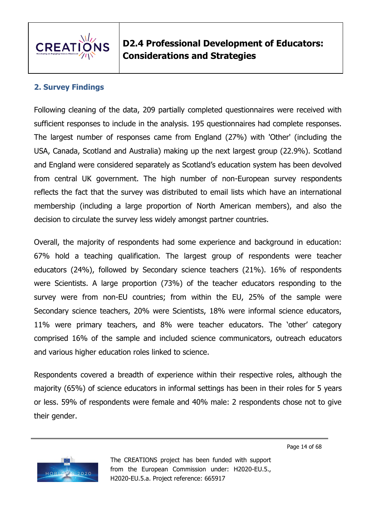

### **2. Survey Findings**

Following cleaning of the data, 209 partially completed questionnaires were received with sufficient responses to include in the analysis. 195 questionnaires had complete responses. The largest number of responses came from England (27%) with 'Other' (including the USA, Canada, Scotland and Australia) making up the next largest group (22.9%). Scotland and England were considered separately as Scotland's education system has been devolved from central UK government. The high number of non-European survey respondents reflects the fact that the survey was distributed to email lists which have an international membership (including a large proportion of North American members), and also the decision to circulate the survey less widely amongst partner countries.

Overall, the majority of respondents had some experience and background in education: 67% hold a teaching qualification. The largest group of respondents were teacher educators (24%), followed by Secondary science teachers (21%). 16% of respondents were Scientists. A large proportion (73%) of the teacher educators responding to the survey were from non-EU countries; from within the EU, 25% of the sample were Secondary science teachers, 20% were Scientists, 18% were informal science educators, 11% were primary teachers, and 8% were teacher educators. The 'other' category comprised 16% of the sample and included science communicators, outreach educators and various higher education roles linked to science.

Respondents covered a breadth of experience within their respective roles, although the majority (65%) of science educators in informal settings has been in their roles for 5 years or less. 59% of respondents were female and 40% male: 2 respondents chose not to give their gender.

Page 14 of 68

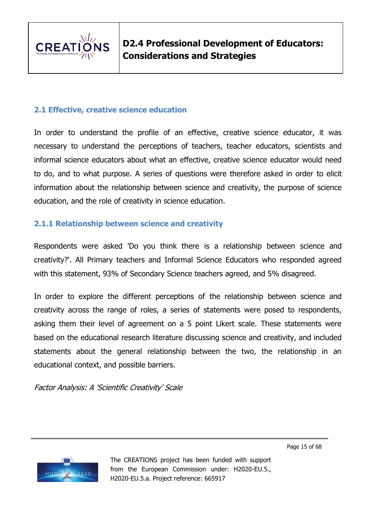

### **2.1 Effective, creative science education**

In order to understand the profile of an effective, creative science educator, it was necessary to understand the perceptions of teachers, teacher educators, scientists and informal science educators about what an effective, creative science educator would need to do, and to what purpose. A series of questions were therefore asked in order to elicit information about the relationship between science and creativity, the purpose of science education, and the role of creativity in science education.

### **2.1.1 Relationship between science and creativity**

Respondents were asked 'Do you think there is a relationship between science and creativity?'. All Primary teachers and Informal Science Educators who responded agreed with this statement, 93% of Secondary Science teachers agreed, and 5% disagreed.

In order to explore the different perceptions of the relationship between science and creativity across the range of roles, a series of statements were posed to respondents, asking them their level of agreement on a 5 point Likert scale. These statements were based on the educational research literature discussing science and creativity, and included statements about the general relationship between the two, the relationship in an educational context, and possible barriers.

Factor Analysis: A 'Scientific Creativity' Scale



The CREATIONS project has been funded with support from the European Commission under: H2020-EU.5., H2020-EU.5.a. Project reference: 665917

Page 15 of 68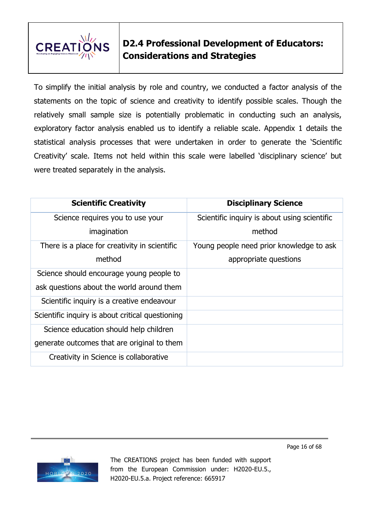

To simplify the initial analysis by role and country, we conducted a factor analysis of the statements on the topic of science and creativity to identify possible scales. Though the relatively small sample size is potentially problematic in conducting such an analysis, exploratory factor analysis enabled us to identify a reliable scale. Appendix 1 details the statistical analysis processes that were undertaken in order to generate the 'Scientific Creativity' scale. Items not held within this scale were labelled 'disciplinary science' but were treated separately in the analysis.

| <b>Scientific Creativity</b>                     | <b>Disciplinary Science</b>                  |
|--------------------------------------------------|----------------------------------------------|
| Science requires you to use your                 | Scientific inquiry is about using scientific |
| imagination                                      | method                                       |
| There is a place for creativity in scientific    | Young people need prior knowledge to ask     |
| method                                           | appropriate questions                        |
| Science should encourage young people to         |                                              |
| ask questions about the world around them        |                                              |
| Scientific inquiry is a creative endeavour       |                                              |
| Scientific inquiry is about critical questioning |                                              |
| Science education should help children           |                                              |
| generate outcomes that are original to them      |                                              |
| Creativity in Science is collaborative           |                                              |



The CREATIONS project has been funded with support from the European Commission under: H2020-EU.5., H2020-EU.5.a. Project reference: 665917

Page 16 of 68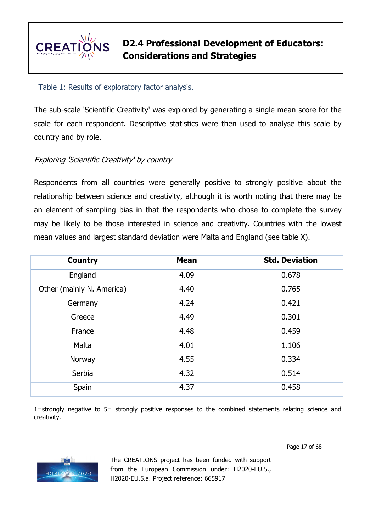

### Table 1: Results of exploratory factor analysis.

The sub-scale 'Scientific Creativity' was explored by generating a single mean score for the scale for each respondent. Descriptive statistics were then used to analyse this scale by country and by role.

### Exploring 'Scientific Creativity' by country

Respondents from all countries were generally positive to strongly positive about the relationship between science and creativity, although it is worth noting that there may be an element of sampling bias in that the respondents who chose to complete the survey may be likely to be those interested in science and creativity. Countries with the lowest mean values and largest standard deviation were Malta and England (see table X).

| <b>Country</b>            | <b>Mean</b> | <b>Std. Deviation</b> |
|---------------------------|-------------|-----------------------|
| England                   | 4.09        | 0.678                 |
| Other (mainly N. America) | 4.40        | 0.765                 |
| Germany                   | 4.24        | 0.421                 |
| Greece                    | 4.49        | 0.301                 |
| France                    | 4.48        | 0.459                 |
| Malta                     | 4.01        | 1.106                 |
| Norway                    | 4.55        | 0.334                 |
| Serbia                    | 4.32        | 0.514                 |
| Spain                     | 4.37        | 0.458                 |

1=strongly negative to 5= strongly positive responses to the combined statements relating science and creativity.

 $2020$ 

The CREATIONS project has been funded with support from the European Commission under: H2020-EU.5., H2020-EU.5.a. Project reference: 665917

Page 17 of 68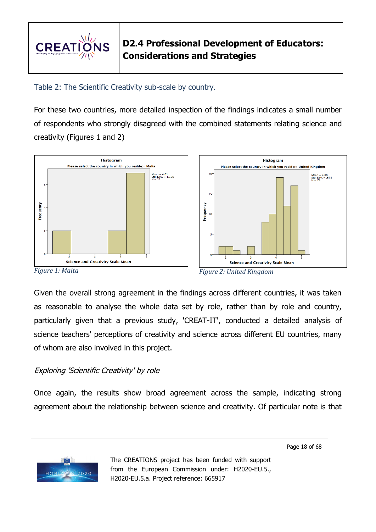

Table 2: The Scientific Creativity sub-scale by country.

For these two countries, more detailed inspection of the findings indicates a small number of respondents who strongly disagreed with the combined statements relating science and creativity (Figures 1 and 2)



Given the overall strong agreement in the findings across different countries, it was taken as reasonable to analyse the whole data set by role, rather than by role and country, particularly given that a previous study, 'CREAT-IT', conducted a detailed analysis of science teachers' perceptions of creativity and science across different EU countries, many of whom are also involved in this project.

### Exploring 'Scientific Creativity' by role

Once again, the results show broad agreement across the sample, indicating strong agreement about the relationship between science and creativity. Of particular note is that

Page 18 of 68

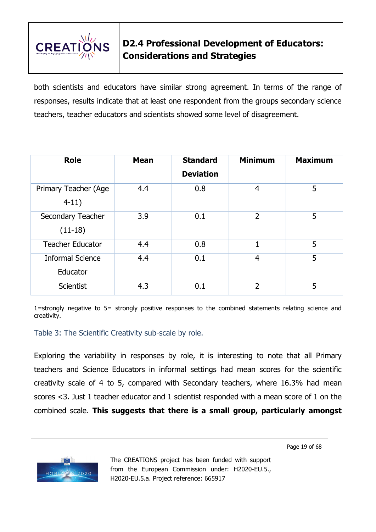

both scientists and educators have similar strong agreement. In terms of the range of responses, results indicate that at least one respondent from the groups secondary science teachers, teacher educators and scientists showed some level of disagreement.

| <b>Role</b>                         | <b>Mean</b> | <b>Standard</b><br><b>Deviation</b> | <b>Minimum</b> | <b>Maximum</b> |
|-------------------------------------|-------------|-------------------------------------|----------------|----------------|
| Primary Teacher (Age<br>$4-11)$     | 4.4         | 0.8                                 | 4              | 5              |
| Secondary Teacher<br>$(11-18)$      | 3.9         | 0.1                                 | $\overline{2}$ | 5              |
| <b>Teacher Educator</b>             | 4.4         | 0.8                                 | 1              | 5              |
| <b>Informal Science</b><br>Educator | 4.4         | 0.1                                 | 4              | 5              |
| <b>Scientist</b>                    | 4.3         | 0.1                                 | 2              | 5              |

1=strongly negative to 5= strongly positive responses to the combined statements relating science and creativity.

Table 3: The Scientific Creativity sub-scale by role.

Exploring the variability in responses by role, it is interesting to note that all Primary teachers and Science Educators in informal settings had mean scores for the scientific creativity scale of 4 to 5, compared with Secondary teachers, where 16.3% had mean scores <3. Just 1 teacher educator and 1 scientist responded with a mean score of 1 on the combined scale. **This suggests that there is a small group, particularly amongst** 

Page 19 of 68

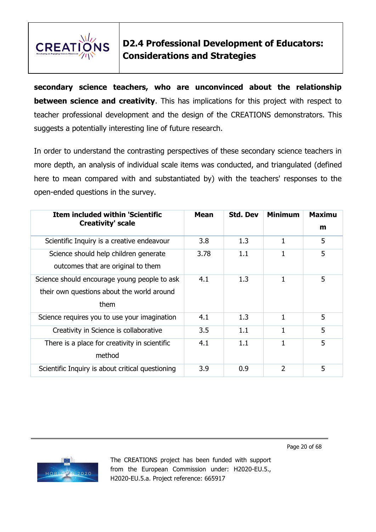

**secondary science teachers, who are unconvinced about the relationship between science and creativity**. This has implications for this project with respect to teacher professional development and the design of the CREATIONS demonstrators. This suggests a potentially interesting line of future research.

In order to understand the contrasting perspectives of these secondary science teachers in more depth, an analysis of individual scale items was conducted, and triangulated (defined here to mean compared with and substantiated by) with the teachers' responses to the open-ended questions in the survey.

| <b>Item included within 'Scientific</b>                                                            | <b>Mean</b> | <b>Std. Dev</b> | <b>Minimum</b> | Maximu |
|----------------------------------------------------------------------------------------------------|-------------|-----------------|----------------|--------|
| <b>Creativity' scale</b>                                                                           |             |                 |                | m      |
| Scientific Inquiry is a creative endeavour                                                         | 3.8         | 1.3             | 1              | 5      |
| Science should help children generate<br>outcomes that are original to them                        | 3.78        | 1.1             | 1              | 5      |
| Science should encourage young people to ask<br>their own questions about the world around<br>them | 4.1         | 1.3             | 1              | 5      |
| Science requires you to use your imagination                                                       | 4.1         | 1.3             | $\mathbf{1}$   | 5      |
| Creativity in Science is collaborative                                                             | 3.5         | 1.1             | 1              | 5      |
| There is a place for creativity in scientific<br>method                                            | 4.1         | 1.1             | $\mathbf{1}$   | 5      |
| Scientific Inquiry is about critical questioning                                                   | 3.9         | 0.9             | 2              | 5      |



The CREATIONS project has been funded with support from the European Commission under: H2020-EU.5., H2020-EU.5.a. Project reference: 665917

Page 20 of 68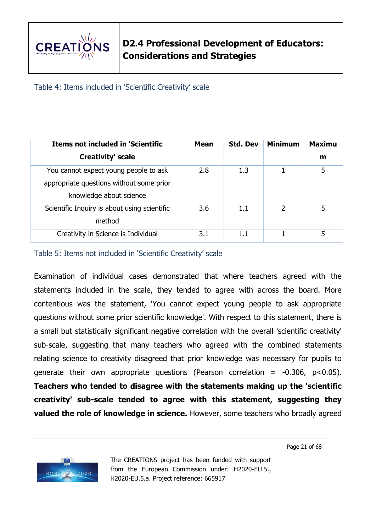

Table 4: Items included in 'Scientific Creativity' scale

| <b>Items not included in 'Scientific</b>     | <b>Mean</b> | <b>Std. Dev</b> | <b>Minimum</b> | <b>Maximu</b> |
|----------------------------------------------|-------------|-----------------|----------------|---------------|
| <b>Creativity' scale</b>                     |             |                 |                | m             |
| You cannot expect young people to ask        | 2.8         | 1.3             |                | 5             |
| appropriate questions without some prior     |             |                 |                |               |
| knowledge about science                      |             |                 |                |               |
| Scientific Inquiry is about using scientific | 3.6         | 1.1             | 2              | 5             |
| method                                       |             |                 |                |               |
| Creativity in Science is Individual          | 3.1         |                 |                | 5             |

### Table 5: Items not included in 'Scientific Creativity' scale

Examination of individual cases demonstrated that where teachers agreed with the statements included in the scale, they tended to agree with across the board. More contentious was the statement, 'You cannot expect young people to ask appropriate questions without some prior scientific knowledge'. With respect to this statement, there is a small but statistically significant negative correlation with the overall 'scientific creativity' sub-scale, suggesting that many teachers who agreed with the combined statements relating science to creativity disagreed that prior knowledge was necessary for pupils to generate their own appropriate questions (Pearson correlation  $= -0.306$ ,  $p < 0.05$ ). **Teachers who tended to disagree with the statements making up the 'scientific creativity' sub-scale tended to agree with this statement, suggesting they valued the role of knowledge in science.** However, some teachers who broadly agreed

Page 21 of 68

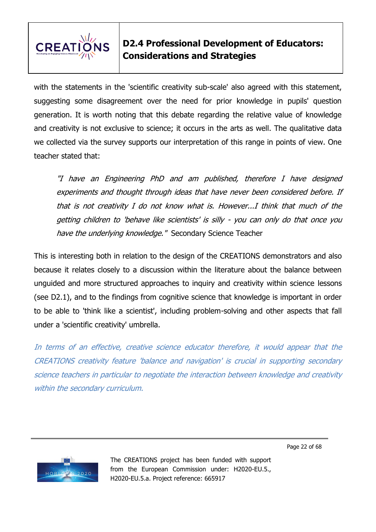

with the statements in the 'scientific creativity sub-scale' also agreed with this statement, suggesting some disagreement over the need for prior knowledge in pupils' question generation. It is worth noting that this debate regarding the relative value of knowledge and creativity is not exclusive to science; it occurs in the arts as well. The qualitative data we collected via the survey supports our interpretation of this range in points of view. One teacher stated that:

"I have an Engineering PhD and am published, therefore I have designed experiments and thought through ideas that have never been considered before. If that is not creativity I do not know what is. However...I think that much of the getting children to 'behave like scientists' is silly - you can only do that once you have the underlying knowledge." Secondary Science Teacher

This is interesting both in relation to the design of the CREATIONS demonstrators and also because it relates closely to a discussion within the literature about the balance between unguided and more structured approaches to inquiry and creativity within science lessons (see D2.1), and to the findings from cognitive science that knowledge is important in order to be able to 'think like a scientist', including problem-solving and other aspects that fall under a 'scientific creativity' umbrella.

In terms of an effective, creative science educator therefore, it would appear that the CREATIONS creativity feature 'balance and navigation' is crucial in supporting secondary science teachers in particular to negotiate the interaction between knowledge and creativity within the secondary curriculum.

Page 22 of 68

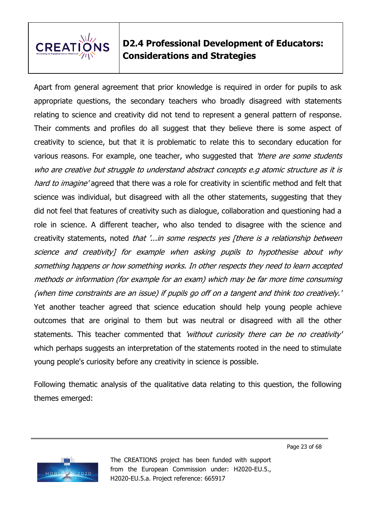

Apart from general agreement that prior knowledge is required in order for pupils to ask appropriate questions, the secondary teachers who broadly disagreed with statements relating to science and creativity did not tend to represent a general pattern of response. Their comments and profiles do all suggest that they believe there is some aspect of creativity to science, but that it is problematic to relate this to secondary education for various reasons. For example, one teacher, who suggested that 'there are some students' who are creative but struggle to understand abstract concepts e.g atomic structure as it is hard to imagine' agreed that there was a role for creativity in scientific method and felt that science was individual, but disagreed with all the other statements, suggesting that they did not feel that features of creativity such as dialogue, collaboration and questioning had a role in science. A different teacher, who also tended to disagree with the science and creativity statements, noted that '...in some respects yes [there is a relationship between science and creativity] for example when asking pupils to hypothesise about why something happens or how something works. In other respects they need to learn accepted methods or information (for example for an exam) which may be far more time consuming (when time constraints are an issue) if pupils go off on a tangent and think too creatively.' Yet another teacher agreed that science education should help young people achieve outcomes that are original to them but was neutral or disagreed with all the other statements. This teacher commented that 'without curiosity there can be no creativity' which perhaps suggests an interpretation of the statements rooted in the need to stimulate young people's curiosity before any creativity in science is possible.

Following thematic analysis of the qualitative data relating to this question, the following themes emerged:

Page 23 of 68

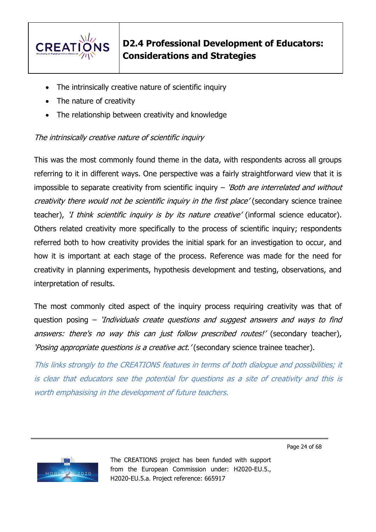

- The intrinsically creative nature of scientific inquiry
- The nature of creativity
- The relationship between creativity and knowledge

### The intrinsically creative nature of scientific inquiry

This was the most commonly found theme in the data, with respondents across all groups referring to it in different ways. One perspective was a fairly straightforward view that it is impossible to separate creativity from scientific inquiry  $-$  'Both are interrelated and without creativity there would not be scientific inquiry in the first place' (secondary science trainee teacher), 'I think scientific inquiry is by its nature creative' (informal science educator). Others related creativity more specifically to the process of scientific inquiry; respondents referred both to how creativity provides the initial spark for an investigation to occur, and how it is important at each stage of the process. Reference was made for the need for creativity in planning experiments, hypothesis development and testing, observations, and interpretation of results.

The most commonly cited aspect of the inquiry process requiring creativity was that of question posing – 'Individuals create questions and suggest answers and ways to find answers: there's no way this can just follow prescribed routes!' (secondary teacher), 'Posing appropriate questions is a creative act.' (secondary science trainee teacher).

This links strongly to the CREATIONS features in terms of both dialogue and possibilities; it is clear that educators see the potential for questions as a site of creativity and this is worth emphasising in the development of future teachers.

Page 24 of 68

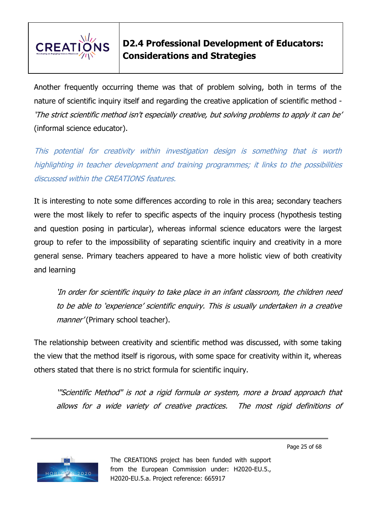

Another frequently occurring theme was that of problem solving, both in terms of the nature of scientific inquiry itself and regarding the creative application of scientific method - 'The strict scientific method isn't especially creative, but solving problems to apply it can be' (informal science educator).

This potential for creativity within investigation design is something that is worth highlighting in teacher development and training programmes; it links to the possibilities discussed within the CREATIONS features.

It is interesting to note some differences according to role in this area; secondary teachers were the most likely to refer to specific aspects of the inquiry process (hypothesis testing and question posing in particular), whereas informal science educators were the largest group to refer to the impossibility of separating scientific inquiry and creativity in a more general sense. Primary teachers appeared to have a more holistic view of both creativity and learning

'In order for scientific inquiry to take place in an infant classroom, the children need to be able to 'experience' scientific enquiry. This is usually undertaken in a creative manner' (Primary school teacher).

The relationship between creativity and scientific method was discussed, with some taking the view that the method itself is rigorous, with some space for creativity within it, whereas others stated that there is no strict formula for scientific inquiry.

'"Scientific Method" is not a rigid formula or system, more a broad approach that allows for a wide variety of creative practices. The most rigid definitions of

Page 25 of 68

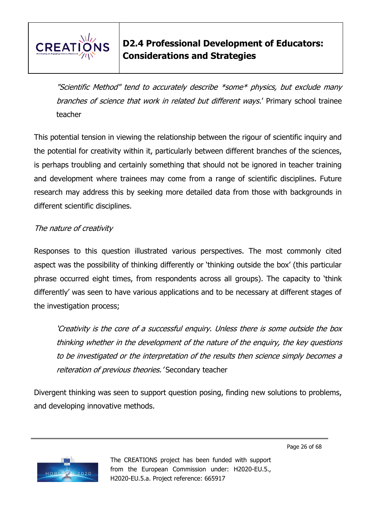

"Scientific Method" tend to accurately describe  $*$ some $*$  physics, but exclude many branches of science that work in related but different ways.' Primary school trainee teacher

This potential tension in viewing the relationship between the rigour of scientific inquiry and the potential for creativity within it, particularly between different branches of the sciences, is perhaps troubling and certainly something that should not be ignored in teacher training and development where trainees may come from a range of scientific disciplines. Future research may address this by seeking more detailed data from those with backgrounds in different scientific disciplines.

### The nature of creativity

Responses to this question illustrated various perspectives. The most commonly cited aspect was the possibility of thinking differently or 'thinking outside the box' (this particular phrase occurred eight times, from respondents across all groups). The capacity to 'think differently' was seen to have various applications and to be necessary at different stages of the investigation process;

'Creativity is the core of a successful enquiry. Unless there is some outside the box thinking whether in the development of the nature of the enquiry, the key questions to be investigated or the interpretation of the results then science simply becomes a reiteration of previous theories. 'Secondary teacher

Divergent thinking was seen to support question posing, finding new solutions to problems, and developing innovative methods.

Page 26 of 68

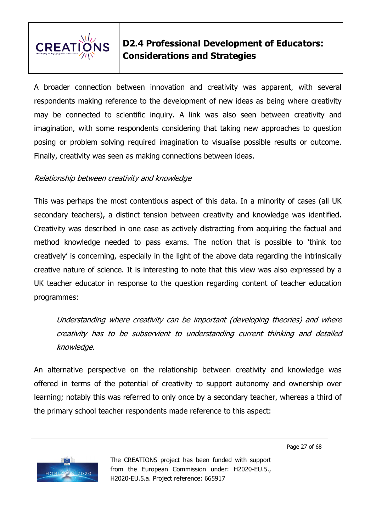

A broader connection between innovation and creativity was apparent, with several respondents making reference to the development of new ideas as being where creativity may be connected to scientific inquiry. A link was also seen between creativity and imagination, with some respondents considering that taking new approaches to question posing or problem solving required imagination to visualise possible results or outcome. Finally, creativity was seen as making connections between ideas.

### Relationship between creativity and knowledge

This was perhaps the most contentious aspect of this data. In a minority of cases (all UK secondary teachers), a distinct tension between creativity and knowledge was identified. Creativity was described in one case as actively distracting from acquiring the factual and method knowledge needed to pass exams. The notion that is possible to 'think too creatively' is concerning, especially in the light of the above data regarding the intrinsically creative nature of science. It is interesting to note that this view was also expressed by a UK teacher educator in response to the question regarding content of teacher education programmes:

Understanding where creativity can be important (developing theories) and where creativity has to be subservient to understanding current thinking and detailed knowledge.

An alternative perspective on the relationship between creativity and knowledge was offered in terms of the potential of creativity to support autonomy and ownership over learning; notably this was referred to only once by a secondary teacher, whereas a third of the primary school teacher respondents made reference to this aspect:

Page 27 of 68

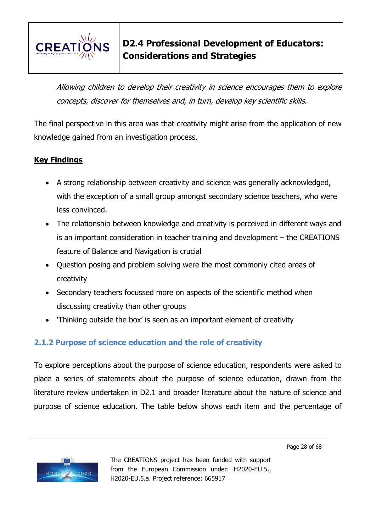

Allowing children to develop their creativity in science encourages them to explore concepts, discover for themselves and, in turn, develop key scientific skills.

The final perspective in this area was that creativity might arise from the application of new knowledge gained from an investigation process.

### **Key Findings**

- A strong relationship between creativity and science was generally acknowledged, with the exception of a small group amongst secondary science teachers, who were less convinced.
- The relationship between knowledge and creativity is perceived in different ways and is an important consideration in teacher training and development – the CREATIONS feature of Balance and Navigation is crucial
- Question posing and problem solving were the most commonly cited areas of creativity
- Secondary teachers focussed more on aspects of the scientific method when discussing creativity than other groups
- 'Thinking outside the box' is seen as an important element of creativity

### **2.1.2 Purpose of science education and the role of creativity**

To explore perceptions about the purpose of science education, respondents were asked to place a series of statements about the purpose of science education, drawn from the literature review undertaken in D2.1 and broader literature about the nature of science and purpose of science education. The table below shows each item and the percentage of

Page 28 of 68

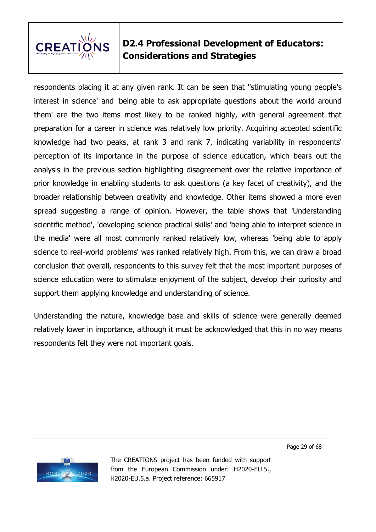

respondents placing it at any given rank. It can be seen that ''stimulating young people's interest in science' and 'being able to ask appropriate questions about the world around them' are the two items most likely to be ranked highly, with general agreement that preparation for a career in science was relatively low priority. Acquiring accepted scientific knowledge had two peaks, at rank 3 and rank 7, indicating variability in respondents' perception of its importance in the purpose of science education, which bears out the analysis in the previous section highlighting disagreement over the relative importance of prior knowledge in enabling students to ask questions (a key facet of creativity), and the broader relationship between creativity and knowledge. Other items showed a more even spread suggesting a range of opinion. However, the table shows that 'Understanding scientific method', 'developing science practical skills' and 'being able to interpret science in the media' were all most commonly ranked relatively low, whereas 'being able to apply science to real-world problems' was ranked relatively high. From this, we can draw a broad conclusion that overall, respondents to this survey felt that the most important purposes of science education were to stimulate enjoyment of the subject, develop their curiosity and support them applying knowledge and understanding of science.

Understanding the nature, knowledge base and skills of science were generally deemed relatively lower in importance, although it must be acknowledged that this in no way means respondents felt they were not important goals.



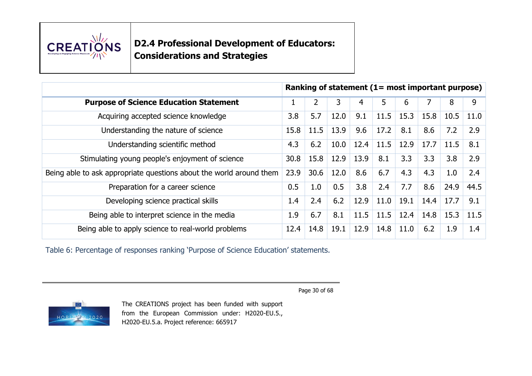

|                                                                     | Ranking of statement (1= most important purpose) |      |      |      |      |      |      |      |      |
|---------------------------------------------------------------------|--------------------------------------------------|------|------|------|------|------|------|------|------|
| <b>Purpose of Science Education Statement</b>                       | 1                                                | 2    | 3    | 4    | 5    | 6    |      | 8    | 9    |
| Acquiring accepted science knowledge                                | 3.8                                              | 5.7  | 12.0 | 9.1  | 11.5 | 15.3 | 15.8 | 10.5 | 11.0 |
| Understanding the nature of science                                 | 15.8                                             | 11.5 | 13.9 | 9.6  | 17.2 | 8.1  | 8.6  | 7.2  | 2.9  |
| Understanding scientific method                                     | 4.3                                              | 6.2  | 10.0 | 12.4 | 11.5 | 12.9 | 17.7 | 11.5 | 8.1  |
| Stimulating young people's enjoyment of science                     | 30.8                                             | 15.8 | 12.9 | 13.9 | 8.1  | 3.3  | 3.3  | 3.8  | 2.9  |
| Being able to ask appropriate questions about the world around them | 23.9                                             | 30.6 | 12.0 | 8.6  | 6.7  | 4.3  | 4.3  | 1.0  | 2.4  |
| Preparation for a career science                                    | 0.5                                              | 1.0  | 0.5  | 3.8  | 2.4  | 7.7  | 8.6  | 24.9 | 44.5 |
| Developing science practical skills                                 | 1.4                                              | 2.4  | 6.2  | 12.9 | 11.0 | 19.1 | 14.4 | 17.7 | 9.1  |
| Being able to interpret science in the media                        | 1.9                                              | 6.7  | 8.1  | 11.5 | 11.5 | 12.4 | 14.8 | 15.3 | 11.5 |
| Being able to apply science to real-world problems                  | 12.4                                             | 14.8 | 19.1 | 12.9 | 14.8 | 11.0 | 6.2  | 1.9  | 1.4  |

Table 6: Percentage of responses ranking 'Purpose of Science Education' statements.

Page 30 of 68

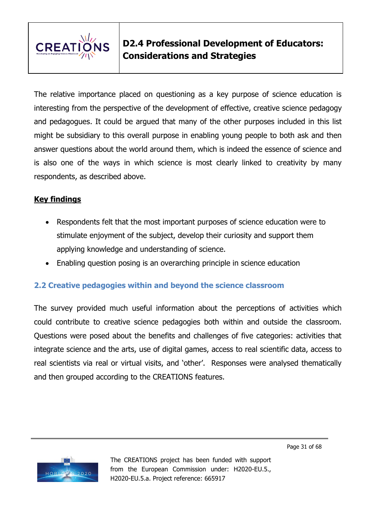

The relative importance placed on questioning as a key purpose of science education is interesting from the perspective of the development of effective, creative science pedagogy and pedagogues. It could be argued that many of the other purposes included in this list might be subsidiary to this overall purpose in enabling young people to both ask and then answer questions about the world around them, which is indeed the essence of science and is also one of the ways in which science is most clearly linked to creativity by many respondents, as described above.

### **Key findings**

- Respondents felt that the most important purposes of science education were to stimulate enjoyment of the subject, develop their curiosity and support them applying knowledge and understanding of science.
- Enabling question posing is an overarching principle in science education

### **2.2 Creative pedagogies within and beyond the science classroom**

The survey provided much useful information about the perceptions of activities which could contribute to creative science pedagogies both within and outside the classroom. Questions were posed about the benefits and challenges of five categories: activities that integrate science and the arts, use of digital games, access to real scientific data, access to real scientists via real or virtual visits, and 'other'. Responses were analysed thematically and then grouped according to the CREATIONS features.

Page 31 of 68

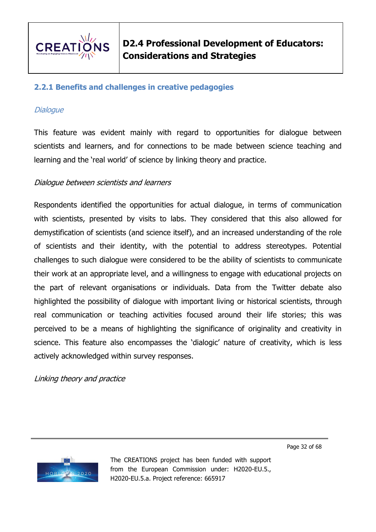

### **2.2.1 Benefits and challenges in creative pedagogies**

### **Dialogue**

This feature was evident mainly with regard to opportunities for dialogue between scientists and learners, and for connections to be made between science teaching and learning and the 'real world' of science by linking theory and practice.

### Dialogue between scientists and learners

Respondents identified the opportunities for actual dialogue, in terms of communication with scientists, presented by visits to labs. They considered that this also allowed for demystification of scientists (and science itself), and an increased understanding of the role of scientists and their identity, with the potential to address stereotypes. Potential challenges to such dialogue were considered to be the ability of scientists to communicate their work at an appropriate level, and a willingness to engage with educational projects on the part of relevant organisations or individuals. Data from the Twitter debate also highlighted the possibility of dialogue with important living or historical scientists, through real communication or teaching activities focused around their life stories; this was perceived to be a means of highlighting the significance of originality and creativity in science. This feature also encompasses the 'dialogic' nature of creativity, which is less actively acknowledged within survey responses.

Linking theory and practice

HORIZ N 2020

The CREATIONS project has been funded with support from the European Commission under: H2020-EU.5., H2020-EU.5.a. Project reference: 665917

Page 32 of 68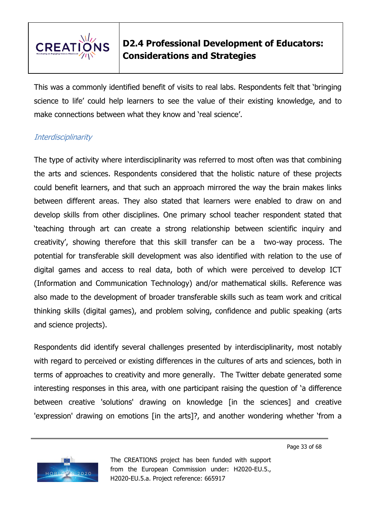

This was a commonly identified benefit of visits to real labs. Respondents felt that 'bringing science to life' could help learners to see the value of their existing knowledge, and to make connections between what they know and 'real science'.

### **Interdisciplinarity**

The type of activity where interdisciplinarity was referred to most often was that combining the arts and sciences. Respondents considered that the holistic nature of these projects could benefit learners, and that such an approach mirrored the way the brain makes links between different areas. They also stated that learners were enabled to draw on and develop skills from other disciplines. One primary school teacher respondent stated that 'teaching through art can create a strong relationship between scientific inquiry and creativity', showing therefore that this skill transfer can be a two-way process. The potential for transferable skill development was also identified with relation to the use of digital games and access to real data, both of which were perceived to develop ICT (Information and Communication Technology) and/or mathematical skills. Reference was also made to the development of broader transferable skills such as team work and critical thinking skills (digital games), and problem solving, confidence and public speaking (arts and science projects).

Respondents did identify several challenges presented by interdisciplinarity, most notably with regard to perceived or existing differences in the cultures of arts and sciences, both in terms of approaches to creativity and more generally. The Twitter debate generated some interesting responses in this area, with one participant raising the question of 'a difference between creative 'solutions' drawing on knowledge [in the sciences] and creative 'expression' drawing on emotions [in the arts]?, and another wondering whether 'from a

Page 33 of 68

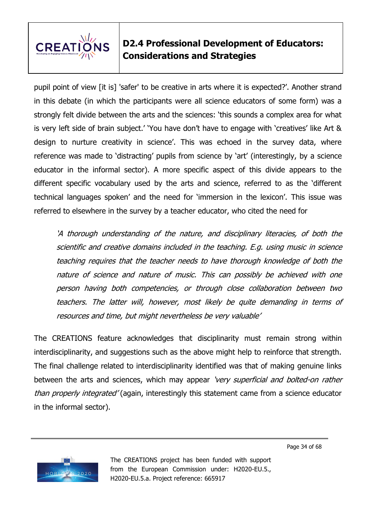

pupil point of view [it is] 'safer' to be creative in arts where it is expected?'. Another strand in this debate (in which the participants were all science educators of some form) was a strongly felt divide between the arts and the sciences: 'this sounds a complex area for what is very left side of brain subject.' 'You have don't have to engage with 'creatives' like Art & design to nurture creativity in science'. This was echoed in the survey data, where reference was made to 'distracting' pupils from science by 'art' (interestingly, by a science educator in the informal sector). A more specific aspect of this divide appears to the different specific vocabulary used by the arts and science, referred to as the 'different technical languages spoken' and the need for 'immersion in the lexicon'. This issue was referred to elsewhere in the survey by a teacher educator, who cited the need for

'A thorough understanding of the nature, and disciplinary literacies, of both the scientific and creative domains included in the teaching. E.g. using music in science teaching requires that the teacher needs to have thorough knowledge of both the nature of science and nature of music. This can possibly be achieved with one person having both competencies, or through close collaboration between two teachers. The latter will, however, most likely be quite demanding in terms of resources and time, but might nevertheless be very valuable'

The CREATIONS feature acknowledges that disciplinarity must remain strong within interdisciplinarity, and suggestions such as the above might help to reinforce that strength. The final challenge related to interdisciplinarity identified was that of making genuine links between the arts and sciences, which may appear 'very superficial and bolted-on rather than properly integrated' (again, interestingly this statement came from a science educator in the informal sector).

Page 34 of 68

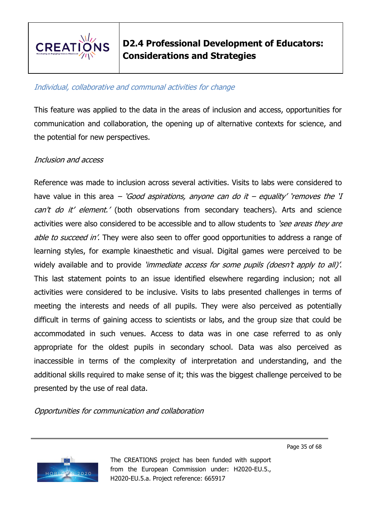

#### Individual, collaborative and communal activities for change

This feature was applied to the data in the areas of inclusion and access, opportunities for communication and collaboration, the opening up of alternative contexts for science, and the potential for new perspectives.

### Inclusion and access

Reference was made to inclusion across several activities. Visits to labs were considered to have value in this area – 'Good aspirations, anyone can do it – equality' 'removes the 'I can't do it' element.' (both observations from secondary teachers). Arts and science activities were also considered to be accessible and to allow students to *'see areas they are* able to succeed in'. They were also seen to offer good opportunities to address a range of learning styles, for example kinaesthetic and visual. Digital games were perceived to be widely available and to provide 'immediate access for some pupils (doesn't apply to all)'. This last statement points to an issue identified elsewhere regarding inclusion; not all activities were considered to be inclusive. Visits to labs presented challenges in terms of meeting the interests and needs of all pupils. They were also perceived as potentially difficult in terms of gaining access to scientists or labs, and the group size that could be accommodated in such venues. Access to data was in one case referred to as only appropriate for the oldest pupils in secondary school. Data was also perceived as inaccessible in terms of the complexity of interpretation and understanding, and the additional skills required to make sense of it; this was the biggest challenge perceived to be presented by the use of real data.

Opportunities for communication and collaboration

Page 35 of 68

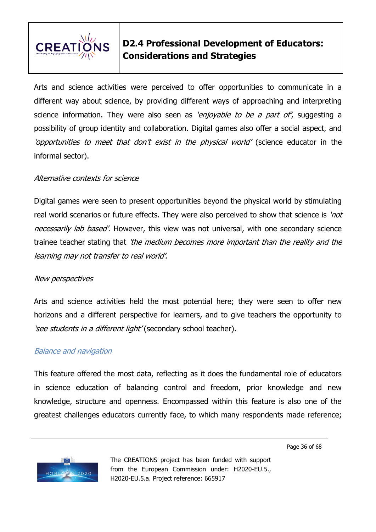

Arts and science activities were perceived to offer opportunities to communicate in a different way about science, by providing different ways of approaching and interpreting science information. They were also seen as *'enjoyable to be a part of'*, suggesting a possibility of group identity and collaboration. Digital games also offer a social aspect, and 'opportunities to meet that don't exist in the physical world' (science educator in the informal sector).

### Alternative contexts for science

Digital games were seen to present opportunities beyond the physical world by stimulating real world scenarios or future effects. They were also perceived to show that science is 'not necessarily lab based'. However, this view was not universal, with one secondary science trainee teacher stating that 'the medium becomes more important than the reality and the learning may not transfer to real world'.

#### New perspectives

Arts and science activities held the most potential here; they were seen to offer new horizons and a different perspective for learners, and to give teachers the opportunity to 'see students in a different light' (secondary school teacher).

#### Balance and navigation

This feature offered the most data, reflecting as it does the fundamental role of educators in science education of balancing control and freedom, prior knowledge and new knowledge, structure and openness. Encompassed within this feature is also one of the greatest challenges educators currently face, to which many respondents made reference;

Page 36 of 68

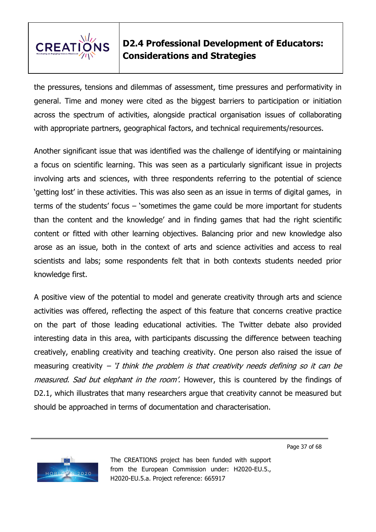

the pressures, tensions and dilemmas of assessment, time pressures and performativity in general. Time and money were cited as the biggest barriers to participation or initiation across the spectrum of activities, alongside practical organisation issues of collaborating with appropriate partners, geographical factors, and technical requirements/resources.

Another significant issue that was identified was the challenge of identifying or maintaining a focus on scientific learning. This was seen as a particularly significant issue in projects involving arts and sciences, with three respondents referring to the potential of science 'getting lost' in these activities. This was also seen as an issue in terms of digital games, in terms of the students' focus – 'sometimes the game could be more important for students than the content and the knowledge' and in finding games that had the right scientific content or fitted with other learning objectives. Balancing prior and new knowledge also arose as an issue, both in the context of arts and science activities and access to real scientists and labs; some respondents felt that in both contexts students needed prior knowledge first.

A positive view of the potential to model and generate creativity through arts and science activities was offered, reflecting the aspect of this feature that concerns creative practice on the part of those leading educational activities. The Twitter debate also provided interesting data in this area, with participants discussing the difference between teaching creatively, enabling creativity and teaching creativity. One person also raised the issue of measuring creativity  $-$  'I think the problem is that creativity needs defining so it can be measured. Sad but elephant in the room'. However, this is countered by the findings of D2.1, which illustrates that many researchers argue that creativity cannot be measured but should be approached in terms of documentation and characterisation.

Page 37 of 68

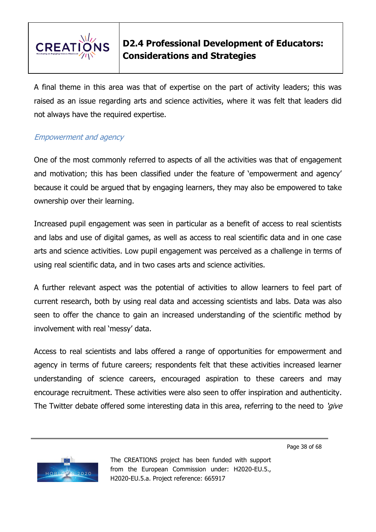

A final theme in this area was that of expertise on the part of activity leaders; this was raised as an issue regarding arts and science activities, where it was felt that leaders did not always have the required expertise.

### Empowerment and agency

One of the most commonly referred to aspects of all the activities was that of engagement and motivation; this has been classified under the feature of 'empowerment and agency' because it could be argued that by engaging learners, they may also be empowered to take ownership over their learning.

Increased pupil engagement was seen in particular as a benefit of access to real scientists and labs and use of digital games, as well as access to real scientific data and in one case arts and science activities. Low pupil engagement was perceived as a challenge in terms of using real scientific data, and in two cases arts and science activities.

A further relevant aspect was the potential of activities to allow learners to feel part of current research, both by using real data and accessing scientists and labs. Data was also seen to offer the chance to gain an increased understanding of the scientific method by involvement with real 'messy' data.

Access to real scientists and labs offered a range of opportunities for empowerment and agency in terms of future careers; respondents felt that these activities increased learner understanding of science careers, encouraged aspiration to these careers and may encourage recruitment. These activities were also seen to offer inspiration and authenticity. The Twitter debate offered some interesting data in this area, referring to the need to 'give

Page 38 of 68

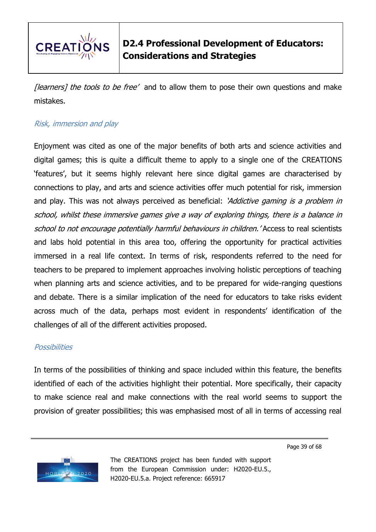

*[learners] the tools to be free'* and to allow them to pose their own questions and make mistakes.

### Risk, immersion and play

Enjoyment was cited as one of the major benefits of both arts and science activities and digital games; this is quite a difficult theme to apply to a single one of the CREATIONS 'features', but it seems highly relevant here since digital games are characterised by connections to play, and arts and science activities offer much potential for risk, immersion and play. This was not always perceived as beneficial: 'Addictive gaming is a problem in school, whilst these immersive games give a way of exploring things, there is a balance in school to not encourage potentially harmful behaviours in children.' Access to real scientists and labs hold potential in this area too, offering the opportunity for practical activities immersed in a real life context. In terms of risk, respondents referred to the need for teachers to be prepared to implement approaches involving holistic perceptions of teaching when planning arts and science activities, and to be prepared for wide-ranging questions and debate. There is a similar implication of the need for educators to take risks evident across much of the data, perhaps most evident in respondents' identification of the challenges of all of the different activities proposed.

### **Possibilities**

In terms of the possibilities of thinking and space included within this feature, the benefits identified of each of the activities highlight their potential. More specifically, their capacity to make science real and make connections with the real world seems to support the provision of greater possibilities; this was emphasised most of all in terms of accessing real

Page 39 of 68

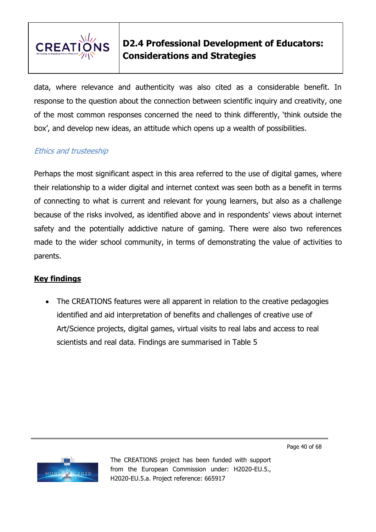

data, where relevance and authenticity was also cited as a considerable benefit. In response to the question about the connection between scientific inquiry and creativity, one of the most common responses concerned the need to think differently, 'think outside the box', and develop new ideas, an attitude which opens up a wealth of possibilities.

### Ethics and trusteeship

Perhaps the most significant aspect in this area referred to the use of digital games, where their relationship to a wider digital and internet context was seen both as a benefit in terms of connecting to what is current and relevant for young learners, but also as a challenge because of the risks involved, as identified above and in respondents' views about internet safety and the potentially addictive nature of gaming. There were also two references made to the wider school community, in terms of demonstrating the value of activities to parents.

### **Key findings**

 The CREATIONS features were all apparent in relation to the creative pedagogies identified and aid interpretation of benefits and challenges of creative use of Art/Science projects, digital games, virtual visits to real labs and access to real scientists and real data. Findings are summarised in Table 5

Page 40 of 68

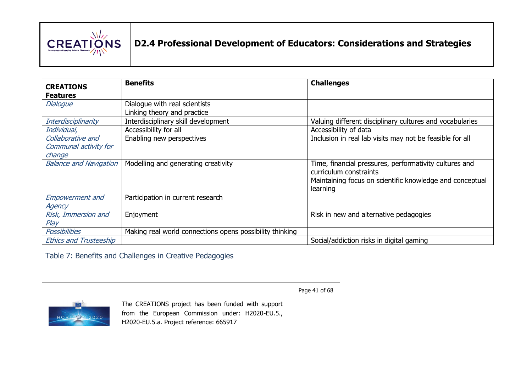

| <b>CREATIONS</b>                                     | <b>Benefits</b>                                              | <b>Challenges</b>                                                                                                                                        |
|------------------------------------------------------|--------------------------------------------------------------|----------------------------------------------------------------------------------------------------------------------------------------------------------|
| <b>Features</b><br><b>Dialogue</b>                   | Dialogue with real scientists<br>Linking theory and practice |                                                                                                                                                          |
| Interdisciplinarity                                  | Interdisciplinary skill development                          | Valuing different disciplinary cultures and vocabularies                                                                                                 |
| Individual,                                          | Accessibility for all                                        | Accessibility of data                                                                                                                                    |
| Collaborative and<br>Communal activity for<br>change | Enabling new perspectives                                    | Inclusion in real lab visits may not be feasible for all                                                                                                 |
| <b>Balance and Navigation</b>                        | Modelling and generating creativity                          | Time, financial pressures, performativity cultures and<br>curriculum constraints<br>Maintaining focus on scientific knowledge and conceptual<br>learning |
| <b>Empowerment and</b><br>Agency                     | Participation in current research                            |                                                                                                                                                          |
| Risk, Immersion and<br>Play                          | Enjoyment                                                    | Risk in new and alternative pedagogies                                                                                                                   |
| <b>Possibilities</b>                                 | Making real world connections opens possibility thinking     |                                                                                                                                                          |
| <b>Ethics and Trusteeship</b>                        |                                                              | Social/addiction risks in digital gaming                                                                                                                 |

Table 7: Benefits and Challenges in Creative Pedagogies

Page 41 of 68

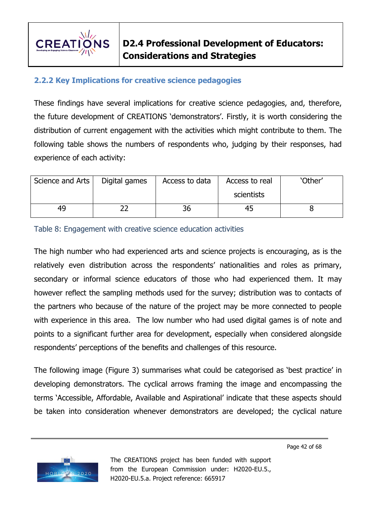

### **2.2.2 Key Implications for creative science pedagogies**

These findings have several implications for creative science pedagogies, and, therefore, the future development of CREATIONS 'demonstrators'. Firstly, it is worth considering the distribution of current engagement with the activities which might contribute to them. The following table shows the numbers of respondents who, judging by their responses, had experience of each activity:

| Science and Arts | Digital games | Access to data | Access to real | 'Other' |
|------------------|---------------|----------------|----------------|---------|
|                  |               |                | scientists     |         |
| 49               |               | 36             | 45             |         |

Table 8: Engagement with creative science education activities

The high number who had experienced arts and science projects is encouraging, as is the relatively even distribution across the respondents' nationalities and roles as primary, secondary or informal science educators of those who had experienced them. It may however reflect the sampling methods used for the survey; distribution was to contacts of the partners who because of the nature of the project may be more connected to people with experience in this area. The low number who had used digital games is of note and points to a significant further area for development, especially when considered alongside respondents' perceptions of the benefits and challenges of this resource.

The following image (Figure 3) summarises what could be categorised as 'best practice' in developing demonstrators. The cyclical arrows framing the image and encompassing the terms 'Accessible, Affordable, Available and Aspirational' indicate that these aspects should be taken into consideration whenever demonstrators are developed; the cyclical nature

Page 42 of 68

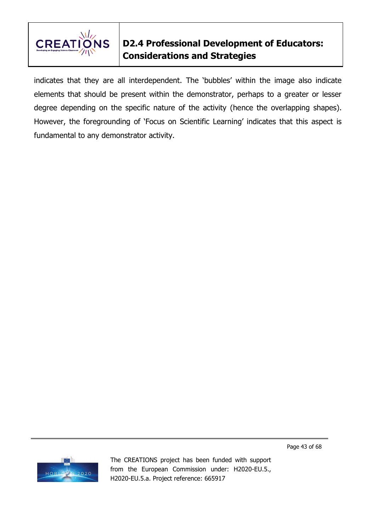

indicates that they are all interdependent. The 'bubbles' within the image also indicate elements that should be present within the demonstrator, perhaps to a greater or lesser degree depending on the specific nature of the activity (hence the overlapping shapes). However, the foregrounding of 'Focus on Scientific Learning' indicates that this aspect is fundamental to any demonstrator activity.



The CREATIONS project has been funded with support from the European Commission under: H2020-EU.5., H2020-EU.5.a. Project reference: 665917

Page 43 of 68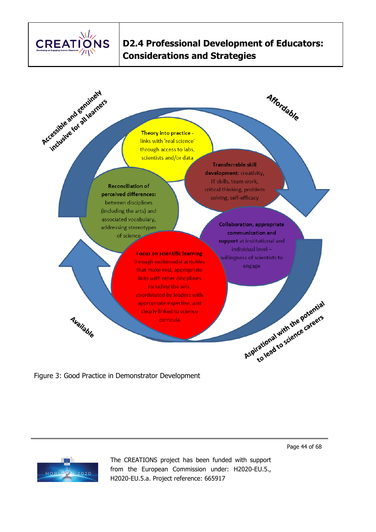

Accessible and genuinely

### **D2.4 Professional Development of Educators: Considerations and Strategies**

Theory into practice links with 'real science' through access to labs, scientists and/or data

**Reconciliation of** perceived differences: between disciplines (including the arts) and associated vocabulary, addressing stereotypes of science

**Focus on scientific learning** through multimodal activities that make real, appropriate links with other disciplines including the arts, coordinated by leaders with appropriate expertise, and clearly linked to science

curricula

Transferrable skill development: creativity, IT skills, team work, critical thinking, problem solving, self-efficacy

> **Collaboration, appropriate** communication and support at institutional and individual level willingness of scientists to engage

Affordable

Figure 3: Good Practice in Demonstrator Development



Available

The CREATIONS project has been funded with support from the European Commission under: H2020-EU.5., H2020-EU.5.a. Project reference: 665917

Page 44 of 68

Aspirational with the potential

pirational with the potential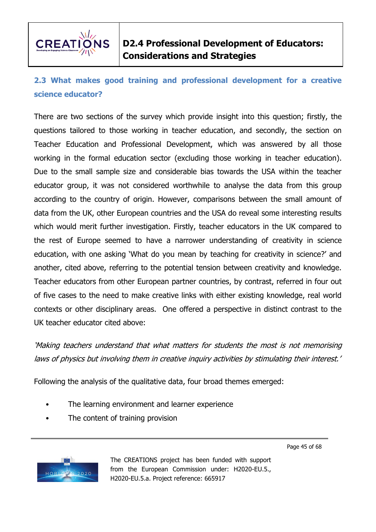

### **2.3 What makes good training and professional development for a creative science educator?**

There are two sections of the survey which provide insight into this question; firstly, the questions tailored to those working in teacher education, and secondly, the section on Teacher Education and Professional Development, which was answered by all those working in the formal education sector (excluding those working in teacher education). Due to the small sample size and considerable bias towards the USA within the teacher educator group, it was not considered worthwhile to analyse the data from this group according to the country of origin. However, comparisons between the small amount of data from the UK, other European countries and the USA do reveal some interesting results which would merit further investigation. Firstly, teacher educators in the UK compared to the rest of Europe seemed to have a narrower understanding of creativity in science education, with one asking 'What do you mean by teaching for creativity in science?' and another, cited above, referring to the potential tension between creativity and knowledge. Teacher educators from other European partner countries, by contrast, referred in four out of five cases to the need to make creative links with either existing knowledge, real world contexts or other disciplinary areas. One offered a perspective in distinct contrast to the UK teacher educator cited above:

'Making teachers understand that what matters for students the most is not memorising laws of physics but involving them in creative inquiry activities by stimulating their interest.'

Following the analysis of the qualitative data, four broad themes emerged:

- The learning environment and learner experience
- The content of training provision

Page 45 of 68

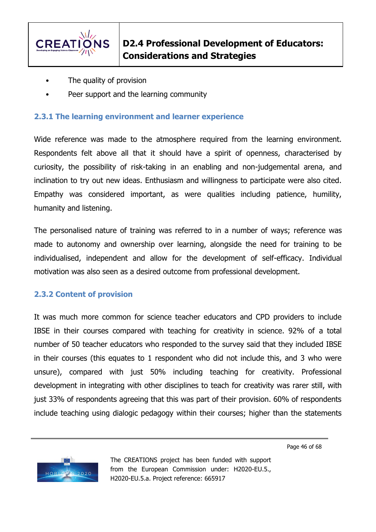

- The quality of provision
- Peer support and the learning community

### **2.3.1 The learning environment and learner experience**

Wide reference was made to the atmosphere required from the learning environment. Respondents felt above all that it should have a spirit of openness, characterised by curiosity, the possibility of risk-taking in an enabling and non-judgemental arena, and inclination to try out new ideas. Enthusiasm and willingness to participate were also cited. Empathy was considered important, as were qualities including patience, humility, humanity and listening.

The personalised nature of training was referred to in a number of ways; reference was made to autonomy and ownership over learning, alongside the need for training to be individualised, independent and allow for the development of self-efficacy. Individual motivation was also seen as a desired outcome from professional development.

### **2.3.2 Content of provision**

It was much more common for science teacher educators and CPD providers to include IBSE in their courses compared with teaching for creativity in science. 92% of a total number of 50 teacher educators who responded to the survey said that they included IBSE in their courses (this equates to 1 respondent who did not include this, and 3 who were unsure), compared with just 50% including teaching for creativity. Professional development in integrating with other disciplines to teach for creativity was rarer still, with just 33% of respondents agreeing that this was part of their provision. 60% of respondents include teaching using dialogic pedagogy within their courses; higher than the statements

Page 46 of 68

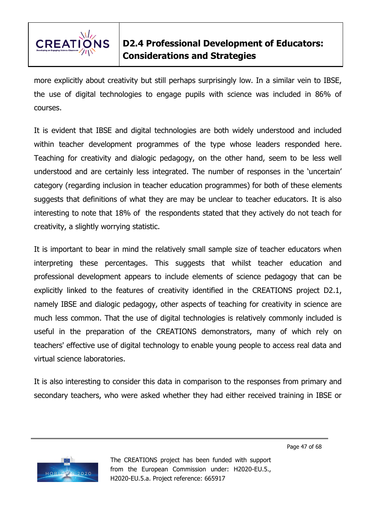

more explicitly about creativity but still perhaps surprisingly low. In a similar vein to IBSE, the use of digital technologies to engage pupils with science was included in 86% of courses.

It is evident that IBSE and digital technologies are both widely understood and included within teacher development programmes of the type whose leaders responded here. Teaching for creativity and dialogic pedagogy, on the other hand, seem to be less well understood and are certainly less integrated. The number of responses in the 'uncertain' category (regarding inclusion in teacher education programmes) for both of these elements suggests that definitions of what they are may be unclear to teacher educators. It is also interesting to note that 18% of the respondents stated that they actively do not teach for creativity, a slightly worrying statistic.

It is important to bear in mind the relatively small sample size of teacher educators when interpreting these percentages. This suggests that whilst teacher education and professional development appears to include elements of science pedagogy that can be explicitly linked to the features of creativity identified in the CREATIONS project D2.1, namely IBSE and dialogic pedagogy, other aspects of teaching for creativity in science are much less common. That the use of digital technologies is relatively commonly included is useful in the preparation of the CREATIONS demonstrators, many of which rely on teachers' effective use of digital technology to enable young people to access real data and virtual science laboratories.

It is also interesting to consider this data in comparison to the responses from primary and secondary teachers, who were asked whether they had either received training in IBSE or

Page 47 of 68

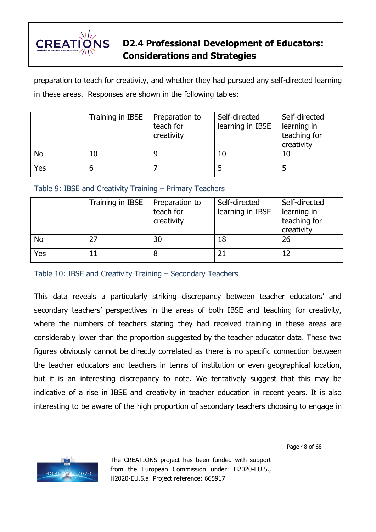

preparation to teach for creativity, and whether they had pursued any self-directed learning in these areas. Responses are shown in the following tables:

|     | Training in IBSE | Preparation to<br>teach for<br>creativity | Self-directed<br>learning in IBSE | Self-directed<br>learning in<br>teaching for<br>creativity |
|-----|------------------|-------------------------------------------|-----------------------------------|------------------------------------------------------------|
| No  | 10               |                                           | 10                                | 10                                                         |
| Yes | b                |                                           |                                   |                                                            |

### Table 9: IBSE and Creativity Training – Primary Teachers

|     | Training in IBSE | Preparation to<br>teach for<br>creativity | Self-directed<br>learning in IBSE | Self-directed<br>learning in<br>teaching for<br>creativity |
|-----|------------------|-------------------------------------------|-----------------------------------|------------------------------------------------------------|
| No  | 27               | 30                                        | 18                                | 26                                                         |
| Yes | 11               |                                           |                                   | 12                                                         |

Table 10: IBSE and Creativity Training – Secondary Teachers

This data reveals a particularly striking discrepancy between teacher educators' and secondary teachers' perspectives in the areas of both IBSE and teaching for creativity, where the numbers of teachers stating they had received training in these areas are considerably lower than the proportion suggested by the teacher educator data. These two figures obviously cannot be directly correlated as there is no specific connection between the teacher educators and teachers in terms of institution or even geographical location, but it is an interesting discrepancy to note. We tentatively suggest that this may be indicative of a rise in IBSE and creativity in teacher education in recent years. It is also interesting to be aware of the high proportion of secondary teachers choosing to engage in

Page 48 of 68

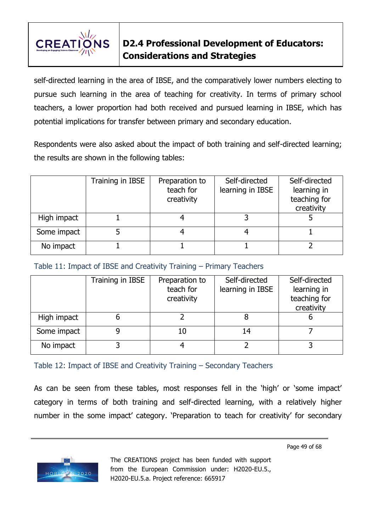

self-directed learning in the area of IBSE, and the comparatively lower numbers electing to pursue such learning in the area of teaching for creativity. In terms of primary school teachers, a lower proportion had both received and pursued learning in IBSE, which has potential implications for transfer between primary and secondary education.

Respondents were also asked about the impact of both training and self-directed learning; the results are shown in the following tables:

|             | Training in IBSE | Preparation to<br>teach for<br>creativity | Self-directed<br>learning in IBSE | Self-directed<br>learning in<br>teaching for<br>creativity |
|-------------|------------------|-------------------------------------------|-----------------------------------|------------------------------------------------------------|
| High impact |                  |                                           |                                   |                                                            |
| Some impact |                  |                                           |                                   |                                                            |
| No impact   |                  |                                           |                                   |                                                            |

Table 11: Impact of IBSE and Creativity Training – Primary Teachers

|             | Training in IBSE | Preparation to<br>teach for<br>creativity | Self-directed<br>learning in IBSE | Self-directed<br>learning in<br>teaching for<br>creativity |
|-------------|------------------|-------------------------------------------|-----------------------------------|------------------------------------------------------------|
| High impact |                  |                                           |                                   |                                                            |
| Some impact |                  | 10                                        |                                   |                                                            |
| No impact   |                  |                                           |                                   |                                                            |

Table 12: Impact of IBSE and Creativity Training – Secondary Teachers

As can be seen from these tables, most responses fell in the 'high' or 'some impact' category in terms of both training and self-directed learning, with a relatively higher number in the some impact' category. 'Preparation to teach for creativity' for secondary

Page 49 of 68

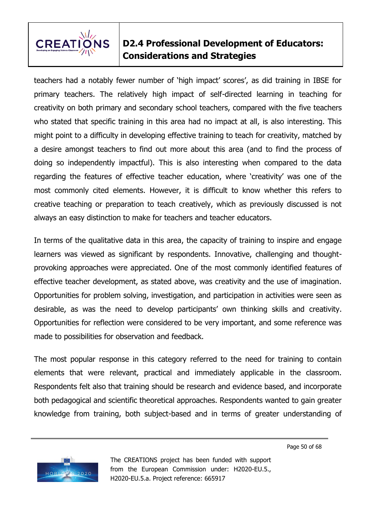

teachers had a notably fewer number of 'high impact' scores', as did training in IBSE for primary teachers. The relatively high impact of self-directed learning in teaching for creativity on both primary and secondary school teachers, compared with the five teachers who stated that specific training in this area had no impact at all, is also interesting. This might point to a difficulty in developing effective training to teach for creativity, matched by a desire amongst teachers to find out more about this area (and to find the process of doing so independently impactful). This is also interesting when compared to the data regarding the features of effective teacher education, where 'creativity' was one of the most commonly cited elements. However, it is difficult to know whether this refers to creative teaching or preparation to teach creatively, which as previously discussed is not always an easy distinction to make for teachers and teacher educators.

In terms of the qualitative data in this area, the capacity of training to inspire and engage learners was viewed as significant by respondents. Innovative, challenging and thoughtprovoking approaches were appreciated. One of the most commonly identified features of effective teacher development, as stated above, was creativity and the use of imagination. Opportunities for problem solving, investigation, and participation in activities were seen as desirable, as was the need to develop participants' own thinking skills and creativity. Opportunities for reflection were considered to be very important, and some reference was made to possibilities for observation and feedback.

The most popular response in this category referred to the need for training to contain elements that were relevant, practical and immediately applicable in the classroom. Respondents felt also that training should be research and evidence based, and incorporate both pedagogical and scientific theoretical approaches. Respondents wanted to gain greater knowledge from training, both subject-based and in terms of greater understanding of

Page 50 of 68

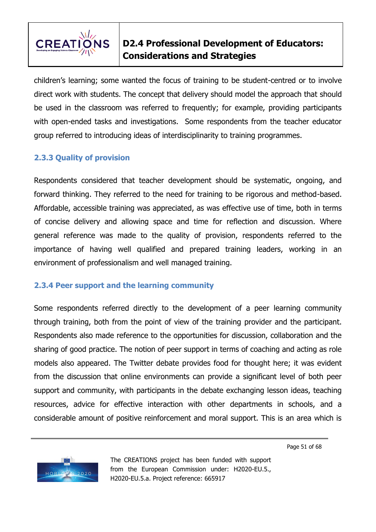

children's learning; some wanted the focus of training to be student-centred or to involve direct work with students. The concept that delivery should model the approach that should be used in the classroom was referred to frequently; for example, providing participants with open-ended tasks and investigations. Some respondents from the teacher educator group referred to introducing ideas of interdisciplinarity to training programmes.

### **2.3.3 Quality of provision**

Respondents considered that teacher development should be systematic, ongoing, and forward thinking. They referred to the need for training to be rigorous and method-based. Affordable, accessible training was appreciated, as was effective use of time, both in terms of concise delivery and allowing space and time for reflection and discussion. Where general reference was made to the quality of provision, respondents referred to the importance of having well qualified and prepared training leaders, working in an environment of professionalism and well managed training.

### **2.3.4 Peer support and the learning community**

Some respondents referred directly to the development of a peer learning community through training, both from the point of view of the training provider and the participant. Respondents also made reference to the opportunities for discussion, collaboration and the sharing of good practice. The notion of peer support in terms of coaching and acting as role models also appeared. The Twitter debate provides food for thought here; it was evident from the discussion that online environments can provide a significant level of both peer support and community, with participants in the debate exchanging lesson ideas, teaching resources, advice for effective interaction with other departments in schools, and a considerable amount of positive reinforcement and moral support. This is an area which is

Page 51 of 68

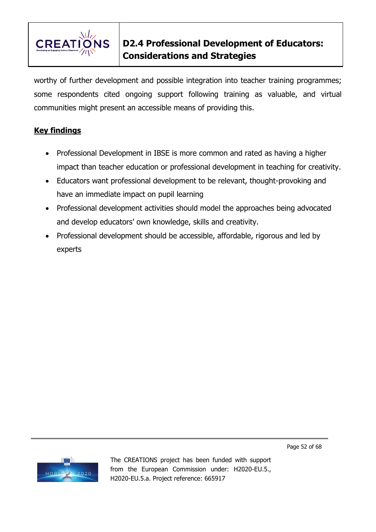

worthy of further development and possible integration into teacher training programmes; some respondents cited ongoing support following training as valuable, and virtual communities might present an accessible means of providing this.

### **Key findings**

- Professional Development in IBSE is more common and rated as having a higher impact than teacher education or professional development in teaching for creativity.
- Educators want professional development to be relevant, thought-provoking and have an immediate impact on pupil learning
- Professional development activities should model the approaches being advocated and develop educators' own knowledge, skills and creativity.
- Professional development should be accessible, affordable, rigorous and led by experts



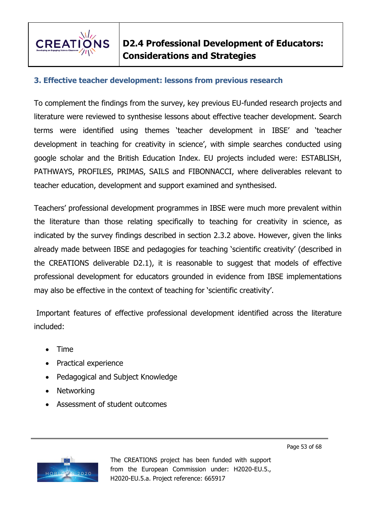

### **3. Effective teacher development: lessons from previous research**

To complement the findings from the survey, key previous EU-funded research projects and literature were reviewed to synthesise lessons about effective teacher development. Search terms were identified using themes 'teacher development in IBSE' and 'teacher development in teaching for creativity in science', with simple searches conducted using google scholar and the British Education Index. EU projects included were: ESTABLISH, PATHWAYS, PROFILES, PRIMAS, SAILS and FIBONNACCI, where deliverables relevant to teacher education, development and support examined and synthesised.

Teachers' professional development programmes in IBSE were much more prevalent within the literature than those relating specifically to teaching for creativity in science, as indicated by the survey findings described in section 2.3.2 above. However, given the links already made between IBSE and pedagogies for teaching 'scientific creativity' (described in the CREATIONS deliverable D2.1), it is reasonable to suggest that models of effective professional development for educators grounded in evidence from IBSE implementations may also be effective in the context of teaching for 'scientific creativity'.

Important features of effective professional development identified across the literature included:

- Time
- Practical experience
- Pedagogical and Subject Knowledge
- Networking
- Assessment of student outcomes



The CREATIONS project has been funded with support from the European Commission under: H2020-EU.5., H2020-EU.5.a. Project reference: 665917

Page 53 of 68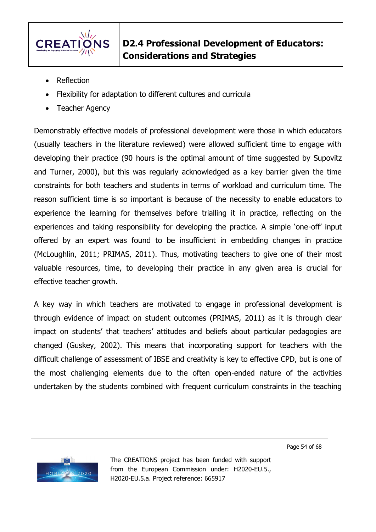

- Reflection
- Flexibility for adaptation to different cultures and curricula
- Teacher Agency

Demonstrably effective models of professional development were those in which educators (usually teachers in the literature reviewed) were allowed sufficient time to engage with developing their practice (90 hours is the optimal amount of time suggested by Supovitz and Turner, 2000), but this was regularly acknowledged as a key barrier given the time constraints for both teachers and students in terms of workload and curriculum time. The reason sufficient time is so important is because of the necessity to enable educators to experience the learning for themselves before trialling it in practice, reflecting on the experiences and taking responsibility for developing the practice. A simple 'one-off' input offered by an expert was found to be insufficient in embedding changes in practice (McLoughlin, 2011; PRIMAS, 2011). Thus, motivating teachers to give one of their most valuable resources, time, to developing their practice in any given area is crucial for effective teacher growth.

A key way in which teachers are motivated to engage in professional development is through evidence of impact on student outcomes (PRIMAS, 2011) as it is through clear impact on students' that teachers' attitudes and beliefs about particular pedagogies are changed (Guskey, 2002). This means that incorporating support for teachers with the difficult challenge of assessment of IBSE and creativity is key to effective CPD, but is one of the most challenging elements due to the often open-ended nature of the activities undertaken by the students combined with frequent curriculum constraints in the teaching

Page 54 of 68

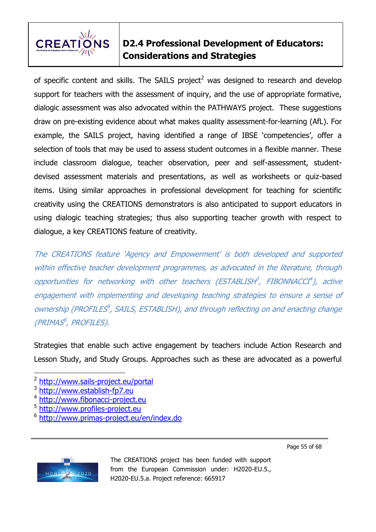

of specific content and skills. The SAILS project<sup>2</sup> was designed to research and develop support for teachers with the assessment of inquiry, and the use of appropriate formative, dialogic assessment was also advocated within the PATHWAYS project. These suggestions draw on pre-existing evidence about what makes quality assessment-for-learning (AfL). For example, the SAILS project, having identified a range of IBSE 'competencies', offer a selection of tools that may be used to assess student outcomes in a flexible manner. These include classroom dialogue, teacher observation, peer and self-assessment, studentdevised assessment materials and presentations, as well as worksheets or quiz-based items. Using similar approaches in professional development for teaching for scientific creativity using the CREATIONS demonstrators is also anticipated to support educators in using dialogic teaching strategies; thus also supporting teacher growth with respect to dialogue, a key CREATIONS feature of creativity.

The CREATIONS feature 'Agency and Empowerment' is both developed and supported within effective teacher development programmes, as advocated in the literature, through opportunities for networking with other teachers (ESTABLISH<sup>3</sup>, FIBONNACCI<sup>4</sup>), active engagement with implementing and developing teaching strategies to ensure a sense of ownership (PROFILES<sup>5</sup>, SAILS, ESTABLISH), and through reflecting on and enacting change (PRIMAS 6 , PROFILES).

Strategies that enable such active engagement by teachers include Action Research and Lesson Study, and Study Groups. Approaches such as these are advocated as a powerful

Page 55 of 68



-

<sup>&</sup>lt;sup>2</sup> <http://www.sails-project.eu/portal>

<sup>&</sup>lt;sup>3</sup> [http://www.establish-fp7.eu](http://www.establish-fp7.eu/)

<sup>4</sup> [http://www.fibonacci-project.eu](http://www.fibonacci-project.eu/)

<sup>5</sup> [http://www.profiles-project.eu](http://www.profiles-project.eu/)

<sup>6</sup> <http://www.primas-project.eu/en/index.do>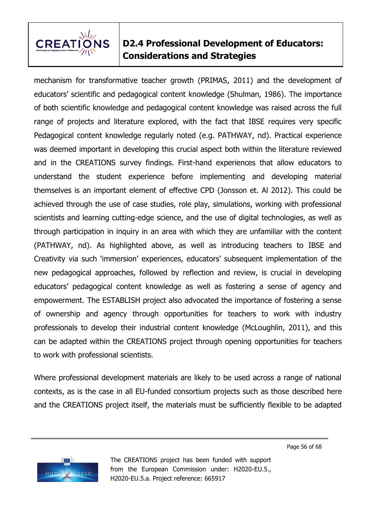

mechanism for transformative teacher growth (PRIMAS, 2011) and the development of educators' scientific and pedagogical content knowledge (Shulman, 1986). The importance of both scientific knowledge and pedagogical content knowledge was raised across the full range of projects and literature explored, with the fact that IBSE requires very specific Pedagogical content knowledge regularly noted (e.g. PATHWAY, nd). Practical experience was deemed important in developing this crucial aspect both within the literature reviewed and in the CREATIONS survey findings. First-hand experiences that allow educators to understand the student experience before implementing and developing material themselves is an important element of effective CPD (Jonsson et. Al 2012). This could be achieved through the use of case studies, role play, simulations, working with professional scientists and learning cutting-edge science, and the use of digital technologies, as well as through participation in inquiry in an area with which they are unfamiliar with the content (PATHWAY, nd). As highlighted above, as well as introducing teachers to IBSE and Creativity via such 'immersion' experiences, educators' subsequent implementation of the new pedagogical approaches, followed by reflection and review, is crucial in developing educators' pedagogical content knowledge as well as fostering a sense of agency and empowerment. The ESTABLISH project also advocated the importance of fostering a sense of ownership and agency through opportunities for teachers to work with industry professionals to develop their industrial content knowledge (McLoughlin, 2011), and this can be adapted within the CREATIONS project through opening opportunities for teachers to work with professional scientists.

Where professional development materials are likely to be used across a range of national contexts, as is the case in all EU-funded consortium projects such as those described here and the CREATIONS project itself, the materials must be sufficiently flexible to be adapted

Page 56 of 68

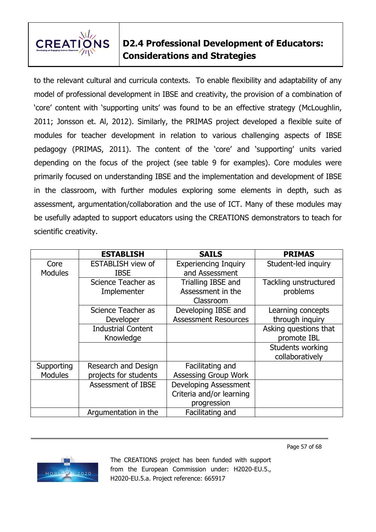

to the relevant cultural and curricula contexts. To enable flexibility and adaptability of any model of professional development in IBSE and creativity, the provision of a combination of 'core' content with 'supporting units' was found to be an effective strategy (McLoughlin, 2011; Jonsson et. Al, 2012). Similarly, the PRIMAS project developed a flexible suite of modules for teacher development in relation to various challenging aspects of IBSE pedagogy (PRIMAS, 2011). The content of the 'core' and 'supporting' units varied depending on the focus of the project (see table 9 for examples). Core modules were primarily focused on understanding IBSE and the implementation and development of IBSE in the classroom, with further modules exploring some elements in depth, such as assessment, argumentation/collaboration and the use of ICT. Many of these modules may be usefully adapted to support educators using the CREATIONS demonstrators to teach for scientific creativity.

|                | <b>ESTABLISH</b>          | <b>SAILS</b>                | <b>PRIMAS</b>         |
|----------------|---------------------------|-----------------------------|-----------------------|
| Core           | <b>ESTABLISH view of</b>  | <b>Experiencing Inquiry</b> | Student-led inquiry   |
| <b>Modules</b> | <b>IBSE</b>               | and Assessment              |                       |
|                | Science Teacher as        | Trialling IBSE and          | Tackling unstructured |
|                | Implementer               | Assessment in the           | problems              |
|                |                           | Classroom                   |                       |
|                | Science Teacher as        | Developing IBSE and         | Learning concepts     |
|                | Developer                 | <b>Assessment Resources</b> | through inquiry       |
|                | <b>Industrial Content</b> |                             | Asking questions that |
|                | Knowledge                 |                             | promote IBL           |
|                |                           |                             | Students working      |
|                |                           |                             | collaboratively       |
| Supporting     | Research and Design       | Facilitating and            |                       |
| <b>Modules</b> | projects for students     | <b>Assessing Group Work</b> |                       |
|                | Assessment of IBSE        | Developing Assessment       |                       |
|                |                           | Criteria and/or learning    |                       |
|                |                           | progression                 |                       |
|                | Argumentation in the      | Facilitating and            |                       |



The CREATIONS project has been funded with support from the European Commission under: H2020-EU.5., H2020-EU.5.a. Project reference: 665917

Page 57 of 68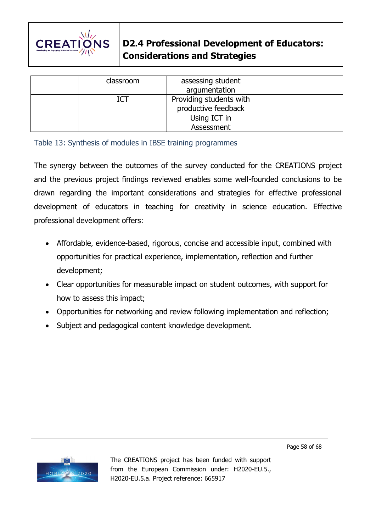

| classroom | assessing student<br>argumentation             |  |
|-----------|------------------------------------------------|--|
| ICT       | Providing students with<br>productive feedback |  |
|           | Using ICT in<br>Assessment                     |  |

Table 13: Synthesis of modules in IBSE training programmes

The synergy between the outcomes of the survey conducted for the CREATIONS project and the previous project findings reviewed enables some well-founded conclusions to be drawn regarding the important considerations and strategies for effective professional development of educators in teaching for creativity in science education. Effective professional development offers:

- Affordable, evidence-based, rigorous, concise and accessible input, combined with opportunities for practical experience, implementation, reflection and further development;
- Clear opportunities for measurable impact on student outcomes, with support for how to assess this impact;
- Opportunities for networking and review following implementation and reflection;
- Subject and pedagogical content knowledge development.

Page 58 of 68

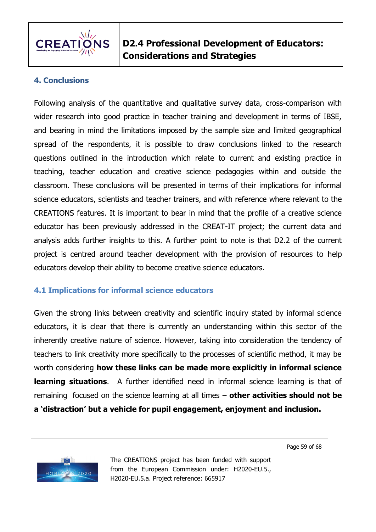

### **4. Conclusions**

Following analysis of the quantitative and qualitative survey data, cross-comparison with wider research into good practice in teacher training and development in terms of IBSE, and bearing in mind the limitations imposed by the sample size and limited geographical spread of the respondents, it is possible to draw conclusions linked to the research questions outlined in the introduction which relate to current and existing practice in teaching, teacher education and creative science pedagogies within and outside the classroom. These conclusions will be presented in terms of their implications for informal science educators, scientists and teacher trainers, and with reference where relevant to the CREATIONS features. It is important to bear in mind that the profile of a creative science educator has been previously addressed in the CREAT-IT project; the current data and analysis adds further insights to this. A further point to note is that D2.2 of the current project is centred around teacher development with the provision of resources to help educators develop their ability to become creative science educators.

### **4.1 Implications for informal science educators**

Given the strong links between creativity and scientific inquiry stated by informal science educators, it is clear that there is currently an understanding within this sector of the inherently creative nature of science. However, taking into consideration the tendency of teachers to link creativity more specifically to the processes of scientific method, it may be worth considering **how these links can be made more explicitly in informal science learning situations**. A further identified need in informal science learning is that of remaining focused on the science learning at all times – **other activities should not be a 'distraction' but a vehicle for pupil engagement, enjoyment and inclusion.**

Page 59 of 68

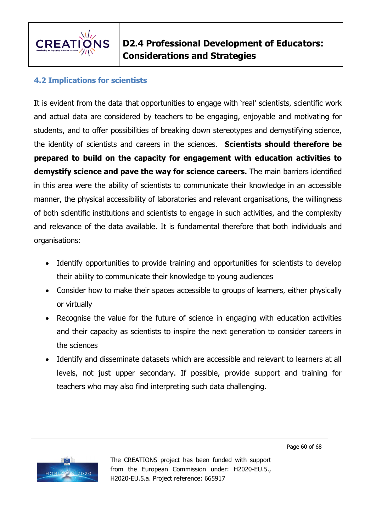

### **4.2 Implications for scientists**

It is evident from the data that opportunities to engage with 'real' scientists, scientific work and actual data are considered by teachers to be engaging, enjoyable and motivating for students, and to offer possibilities of breaking down stereotypes and demystifying science, the identity of scientists and careers in the sciences. **Scientists should therefore be prepared to build on the capacity for engagement with education activities to demystify science and pave the way for science careers.** The main barriers identified in this area were the ability of scientists to communicate their knowledge in an accessible manner, the physical accessibility of laboratories and relevant organisations, the willingness of both scientific institutions and scientists to engage in such activities, and the complexity and relevance of the data available. It is fundamental therefore that both individuals and organisations:

- Identify opportunities to provide training and opportunities for scientists to develop their ability to communicate their knowledge to young audiences
- Consider how to make their spaces accessible to groups of learners, either physically or virtually
- Recognise the value for the future of science in engaging with education activities and their capacity as scientists to inspire the next generation to consider careers in the sciences
- Identify and disseminate datasets which are accessible and relevant to learners at all levels, not just upper secondary. If possible, provide support and training for teachers who may also find interpreting such data challenging.

Page 60 of 68

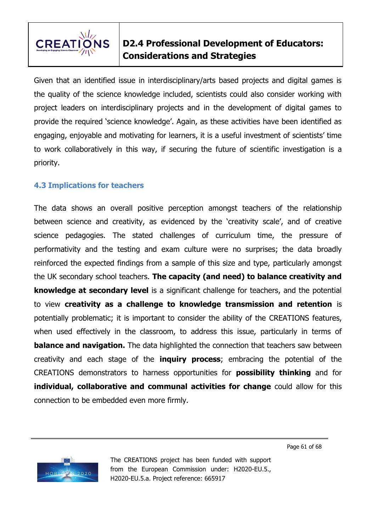

Given that an identified issue in interdisciplinary/arts based projects and digital games is the quality of the science knowledge included, scientists could also consider working with project leaders on interdisciplinary projects and in the development of digital games to provide the required 'science knowledge'. Again, as these activities have been identified as engaging, enjoyable and motivating for learners, it is a useful investment of scientists' time to work collaboratively in this way, if securing the future of scientific investigation is a priority.

### **4.3 Implications for teachers**

The data shows an overall positive perception amongst teachers of the relationship between science and creativity, as evidenced by the 'creativity scale', and of creative science pedagogies. The stated challenges of curriculum time, the pressure of performativity and the testing and exam culture were no surprises; the data broadly reinforced the expected findings from a sample of this size and type, particularly amongst the UK secondary school teachers. **The capacity (and need) to balance creativity and knowledge at secondary level** is a significant challenge for teachers, and the potential to view **creativity as a challenge to knowledge transmission and retention** is potentially problematic; it is important to consider the ability of the CREATIONS features, when used effectively in the classroom, to address this issue, particularly in terms of **balance and navigation.** The data highlighted the connection that teachers saw between creativity and each stage of the **inquiry process**; embracing the potential of the CREATIONS demonstrators to harness opportunities for **possibility thinking** and for **individual, collaborative and communal activities for change** could allow for this connection to be embedded even more firmly.

Page 61 of 68

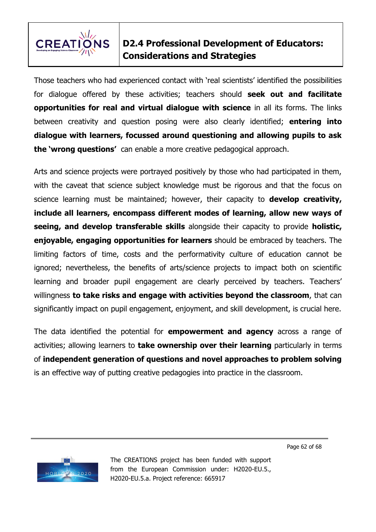

Those teachers who had experienced contact with 'real scientists' identified the possibilities for dialogue offered by these activities; teachers should **seek out and facilitate opportunities for real and virtual dialogue with science** in all its forms. The links between creativity and question posing were also clearly identified; **entering into dialogue with learners, focussed around questioning and allowing pupils to ask the 'wrong questions'** can enable a more creative pedagogical approach.

Arts and science projects were portrayed positively by those who had participated in them, with the caveat that science subject knowledge must be rigorous and that the focus on science learning must be maintained; however, their capacity to **develop creativity, include all learners, encompass different modes of learning, allow new ways of seeing, and develop transferable skills** alongside their capacity to provide **holistic, enjoyable, engaging opportunities for learners** should be embraced by teachers. The limiting factors of time, costs and the performativity culture of education cannot be ignored; nevertheless, the benefits of arts/science projects to impact both on scientific learning and broader pupil engagement are clearly perceived by teachers. Teachers' willingness **to take risks and engage with activities beyond the classroom**, that can significantly impact on pupil engagement, enjoyment, and skill development, is crucial here.

The data identified the potential for **empowerment and agency** across a range of activities; allowing learners to **take ownership over their learning** particularly in terms of **independent generation of questions and novel approaches to problem solving** is an effective way of putting creative pedagogies into practice in the classroom.

Page 62 of 68

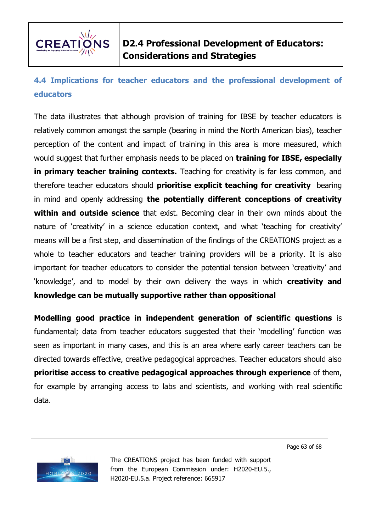

### **4.4 Implications for teacher educators and the professional development of educators**

The data illustrates that although provision of training for IBSE by teacher educators is relatively common amongst the sample (bearing in mind the North American bias), teacher perception of the content and impact of training in this area is more measured, which would suggest that further emphasis needs to be placed on **training for IBSE, especially in primary teacher training contexts.** Teaching for creativity is far less common, and therefore teacher educators should **prioritise explicit teaching for creativity** bearing in mind and openly addressing **the potentially different conceptions of creativity within and outside science** that exist. Becoming clear in their own minds about the nature of 'creativity' in a science education context, and what 'teaching for creativity' means will be a first step, and dissemination of the findings of the CREATIONS project as a whole to teacher educators and teacher training providers will be a priority. It is also important for teacher educators to consider the potential tension between 'creativity' and 'knowledge', and to model by their own delivery the ways in which **creativity and knowledge can be mutually supportive rather than oppositional**

**Modelling good practice in independent generation of scientific questions** is fundamental; data from teacher educators suggested that their 'modelling' function was seen as important in many cases, and this is an area where early career teachers can be directed towards effective, creative pedagogical approaches. Teacher educators should also **prioritise access to creative pedagogical approaches through experience** of them, for example by arranging access to labs and scientists, and working with real scientific data.

Page 63 of 68

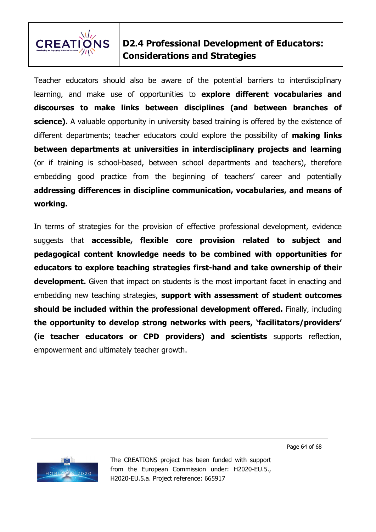

Teacher educators should also be aware of the potential barriers to interdisciplinary learning, and make use of opportunities to **explore different vocabularies and discourses to make links between disciplines (and between branches of science).** A valuable opportunity in university based training is offered by the existence of different departments; teacher educators could explore the possibility of **making links between departments at universities in interdisciplinary projects and learning**  (or if training is school-based, between school departments and teachers), therefore embedding good practice from the beginning of teachers' career and potentially **addressing differences in discipline communication, vocabularies, and means of working.** 

In terms of strategies for the provision of effective professional development, evidence suggests that **accessible, flexible core provision related to subject and pedagogical content knowledge needs to be combined with opportunities for educators to explore teaching strategies first-hand and take ownership of their development.** Given that impact on students is the most important facet in enacting and embedding new teaching strategies, **support with assessment of student outcomes should be included within the professional development offered.** Finally, including **the opportunity to develop strong networks with peers, 'facilitators/providers' (ie teacher educators or CPD providers) and scientists** supports reflection, empowerment and ultimately teacher growth.

Page 64 of 68

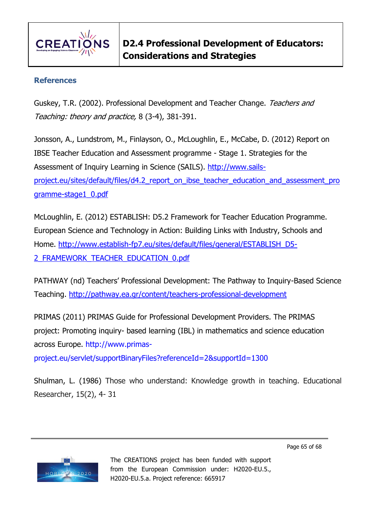

#### **References**

Guskey, T.R. (2002). Professional Development and Teacher Change. Teachers and Teaching: theory and practice, 8 (3-4), 381-391.

Jonsson, A., Lundstrom, M., Finlayson, O., McLoughlin, E., McCabe, D. (2012) Report on IBSE Teacher Education and Assessment programme - Stage 1. Strategies for the Assessment of Inquiry Learning in Science (SAILS). [http://www.sails](http://www.sails-project.eu/sites/default/files/d4.2_report_on_ibse_teacher_education_and_assessment_programme-stage1_0.pdf)project.eu/sites/default/files/d4.2 report on ibse\_teacher\_education\_and\_assessment\_pro [gramme-stage1\\_0.pdf](http://www.sails-project.eu/sites/default/files/d4.2_report_on_ibse_teacher_education_and_assessment_programme-stage1_0.pdf) 

McLoughlin, E. (2012) ESTABLISH: D5.2 Framework for Teacher Education Programme. European Science and Technology in Action: Building Links with Industry, Schools and Home. [http://www.establish-fp7.eu/sites/default/files/general/ESTABLISH\\_D5-](http://www.establish-fp7.eu/sites/default/files/general/ESTABLISH_D5-2_FRAMEWORK_TEACHER_EDUCATION_0.pdf) [2\\_FRAMEWORK\\_TEACHER\\_EDUCATION\\_0.pdf](http://www.establish-fp7.eu/sites/default/files/general/ESTABLISH_D5-2_FRAMEWORK_TEACHER_EDUCATION_0.pdf)

PATHWAY (nd) Teachers' Professional Development: The Pathway to Inquiry-Based Science Teaching.<http://pathway.ea.gr/content/teachers-professional-development>

PRIMAS (2011) PRIMAS Guide for Professional Development Providers. The PRIMAS project: Promoting inquiry- based learning (IBL) in mathematics and science education across Europe. [http://www.primas-](http://www.primas-project.eu/servlet/supportBinaryFiles?referenceId=2&supportId=1300)

[project.eu/servlet/supportBinaryFiles?referenceId=2&supportId=1300](http://www.primas-project.eu/servlet/supportBinaryFiles?referenceId=2&supportId=1300) 

Shulman, L. (1986) Those who understand: Knowledge growth in teaching. Educational Researcher, 15(2), 4- 31

Page 65 of 68

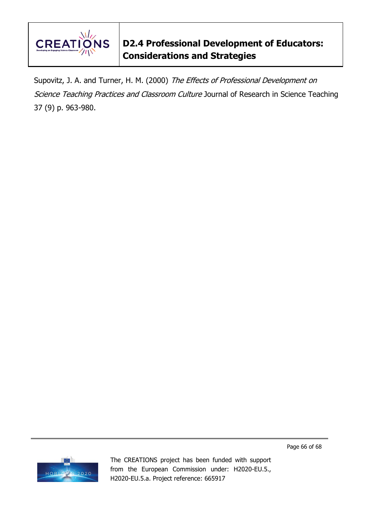

Supovitz, J. A. and Turner, H. M. (2000) The Effects of Professional Development on Science Teaching Practices and Classroom Culture Journal of Research in Science Teaching 37 (9) p. 963-980.



The CREATIONS project has been funded with support from the European Commission under: H2020-EU.5., H2020-EU.5.a. Project reference: 665917

Page 66 of 68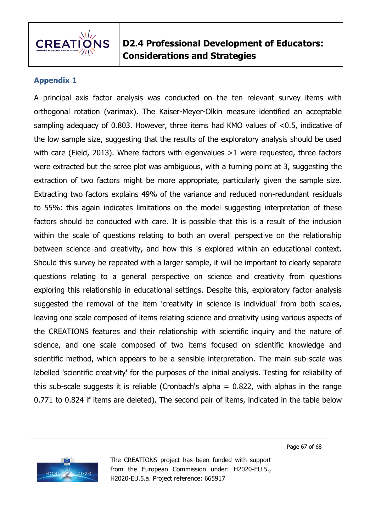

### **Appendix 1**

A principal axis factor analysis was conducted on the ten relevant survey items with orthogonal rotation (varimax). The Kaiser-Meyer-Olkin measure identified an acceptable sampling adequacy of 0.803. However, three items had KMO values of <0.5, indicative of the low sample size, suggesting that the results of the exploratory analysis should be used with care (Field, 2013). Where factors with eigenvalues >1 were requested, three factors were extracted but the scree plot was ambiguous, with a turning point at 3, suggesting the extraction of two factors might be more appropriate, particularly given the sample size. Extracting two factors explains 49% of the variance and reduced non-redundant residuals to 55%: this again indicates limitations on the model suggesting interpretation of these factors should be conducted with care. It is possible that this is a result of the inclusion within the scale of questions relating to both an overall perspective on the relationship between science and creativity, and how this is explored within an educational context. Should this survey be repeated with a larger sample, it will be important to clearly separate questions relating to a general perspective on science and creativity from questions exploring this relationship in educational settings. Despite this, exploratory factor analysis suggested the removal of the item 'creativity in science is individual' from both scales, leaving one scale composed of items relating science and creativity using various aspects of the CREATIONS features and their relationship with scientific inquiry and the nature of science, and one scale composed of two items focused on scientific knowledge and scientific method, which appears to be a sensible interpretation. The main sub-scale was labelled 'scientific creativity' for the purposes of the initial analysis. Testing for reliability of this sub-scale suggests it is reliable (Cronbach's alpha  $= 0.822$ , with alphas in the range 0.771 to 0.824 if items are deleted). The second pair of items, indicated in the table below

Page 67 of 68